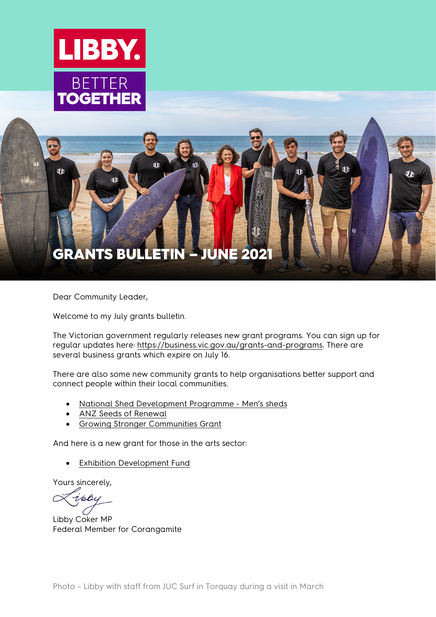



<span id="page-0-0"></span>Dear Community Leader,

Welcome to my July grants bulletin.

The Victorian government regularly releases new grant programs. You can sign up for regular updates here: [https://business.vic.gov.au/grants-and-programs.](https://business.vic.gov.au/grants-and-programs) There are several business grants which expire on July 16.

There are also some new community grants to help organisations better support and connect people within their local communities.

- [National Shed Development Programme -](https://mensshed.org/development-grants/) Men's sheds
- [ANZ Seeds of Renewal](https://frrr.org.au/funding/people-grants/anz-seeds-of-renewal/)
- [Growing Stronger Communities Grant](https://www.heritagecharitablefoundation.org.au/apply)

And here is a new grant for those in the arts sector:

**[Exhibition Development Fund](https://netsvictoria.org.au/opportunities/exhibition-development-fund/)** 

Yours sincerely,

ipbu

Libby Coker MP Federal Member for Corangamite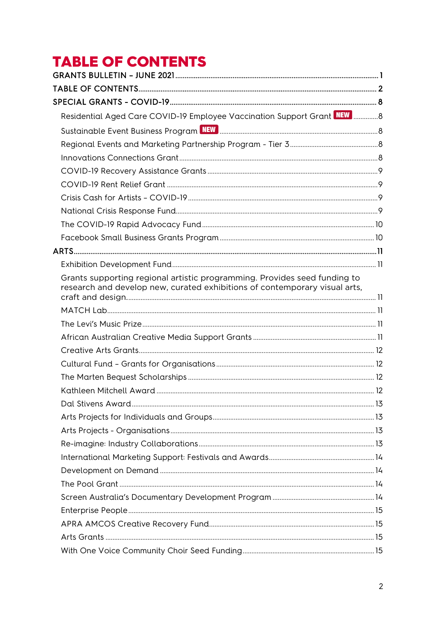# <span id="page-1-0"></span>**TABLE OF CONTENTS**

| Residential Aged Care COVID-19 Employee Vaccination Support Grant NEW  8                                                                                |  |
|---------------------------------------------------------------------------------------------------------------------------------------------------------|--|
|                                                                                                                                                         |  |
|                                                                                                                                                         |  |
|                                                                                                                                                         |  |
|                                                                                                                                                         |  |
|                                                                                                                                                         |  |
|                                                                                                                                                         |  |
|                                                                                                                                                         |  |
|                                                                                                                                                         |  |
|                                                                                                                                                         |  |
|                                                                                                                                                         |  |
|                                                                                                                                                         |  |
| Grants supporting regional artistic programming. Provides seed funding to<br>research and develop new, curated exhibitions of contemporary visual arts, |  |
|                                                                                                                                                         |  |
|                                                                                                                                                         |  |
|                                                                                                                                                         |  |
|                                                                                                                                                         |  |
|                                                                                                                                                         |  |
|                                                                                                                                                         |  |
|                                                                                                                                                         |  |
|                                                                                                                                                         |  |
|                                                                                                                                                         |  |
|                                                                                                                                                         |  |
|                                                                                                                                                         |  |
|                                                                                                                                                         |  |
|                                                                                                                                                         |  |
|                                                                                                                                                         |  |
|                                                                                                                                                         |  |
|                                                                                                                                                         |  |
|                                                                                                                                                         |  |
|                                                                                                                                                         |  |
|                                                                                                                                                         |  |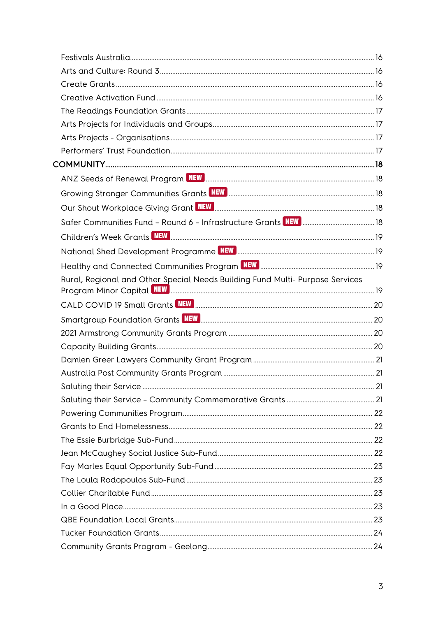| ANZ Seeds of Renewal Program NEW <b>Resonance and Contract Contract Contract Contract Contract Contract Contract</b> 18 |  |
|-------------------------------------------------------------------------------------------------------------------------|--|
|                                                                                                                         |  |
|                                                                                                                         |  |
|                                                                                                                         |  |
|                                                                                                                         |  |
|                                                                                                                         |  |
| Healthy and Connected Communities Program NEW MARCH MANAGEM MARKET 19                                                   |  |
| Rural, Regional and Other Special Needs Building Fund Multi- Purpose Services                                           |  |
|                                                                                                                         |  |
| Smartgroup Foundation Grants NEW <b>REW 2000 COVERTS 20</b>                                                             |  |
|                                                                                                                         |  |
|                                                                                                                         |  |
|                                                                                                                         |  |
|                                                                                                                         |  |
|                                                                                                                         |  |
|                                                                                                                         |  |
|                                                                                                                         |  |
|                                                                                                                         |  |
|                                                                                                                         |  |
|                                                                                                                         |  |
|                                                                                                                         |  |
|                                                                                                                         |  |
|                                                                                                                         |  |
|                                                                                                                         |  |
|                                                                                                                         |  |
|                                                                                                                         |  |
|                                                                                                                         |  |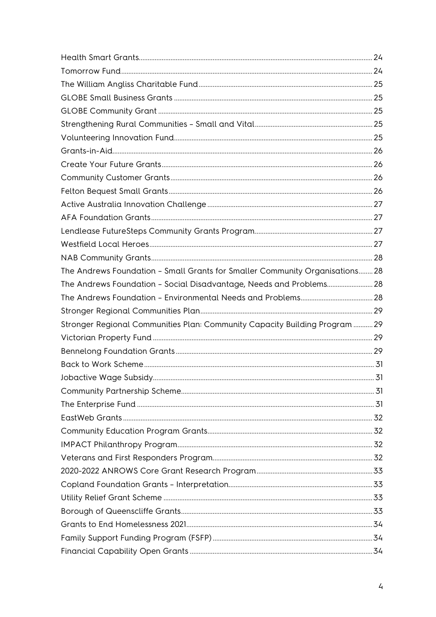| The Andrews Foundation - Small Grants for Smaller Community Organisations 28 |  |
|------------------------------------------------------------------------------|--|
| The Andrews Foundation - Social Disadvantage, Needs and Problems 28          |  |
|                                                                              |  |
|                                                                              |  |
| Stronger Regional Communities Plan: Community Capacity Building Program  29  |  |
|                                                                              |  |
|                                                                              |  |
|                                                                              |  |
|                                                                              |  |
|                                                                              |  |
|                                                                              |  |
|                                                                              |  |
|                                                                              |  |
|                                                                              |  |
|                                                                              |  |
|                                                                              |  |
|                                                                              |  |
|                                                                              |  |
|                                                                              |  |
|                                                                              |  |
|                                                                              |  |
|                                                                              |  |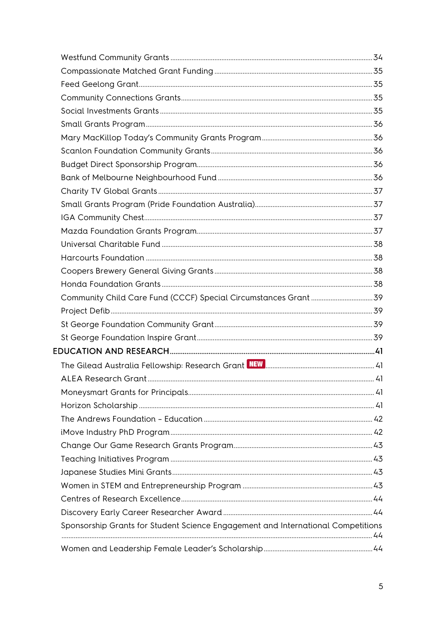|                                                                                  | 41 |
|----------------------------------------------------------------------------------|----|
|                                                                                  |    |
|                                                                                  |    |
|                                                                                  |    |
|                                                                                  |    |
|                                                                                  |    |
|                                                                                  |    |
|                                                                                  |    |
|                                                                                  |    |
|                                                                                  |    |
|                                                                                  |    |
| Sponsorship Grants for Student Science Engagement and International Competitions |    |
|                                                                                  |    |
|                                                                                  |    |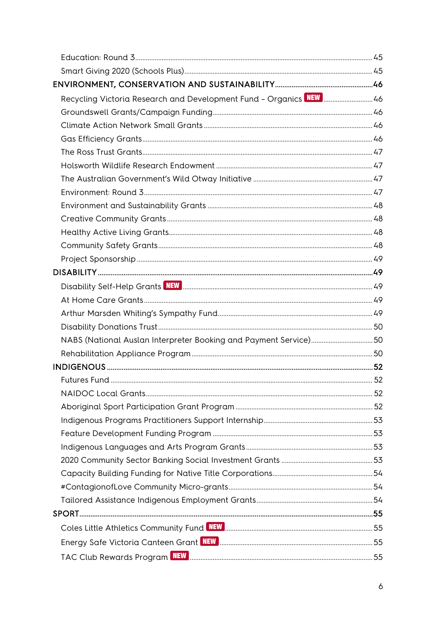| Recycling Victoria Research and Development Fund - Organics NEW  46 |  |
|---------------------------------------------------------------------|--|
|                                                                     |  |
|                                                                     |  |
|                                                                     |  |
|                                                                     |  |
|                                                                     |  |
|                                                                     |  |
|                                                                     |  |
|                                                                     |  |
|                                                                     |  |
|                                                                     |  |
|                                                                     |  |
|                                                                     |  |
|                                                                     |  |
|                                                                     |  |
|                                                                     |  |
|                                                                     |  |
|                                                                     |  |
| NABS (National Auslan Interpreter Booking and Payment Service)50    |  |
|                                                                     |  |
|                                                                     |  |
|                                                                     |  |
|                                                                     |  |
|                                                                     |  |
|                                                                     |  |
|                                                                     |  |
|                                                                     |  |
|                                                                     |  |
|                                                                     |  |
|                                                                     |  |
|                                                                     |  |
|                                                                     |  |
|                                                                     |  |
|                                                                     |  |
|                                                                     |  |
|                                                                     |  |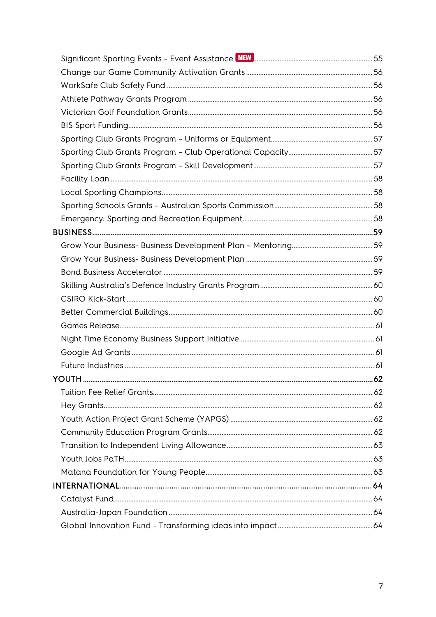| YOUTH |  |
|-------|--|
|       |  |
|       |  |
|       |  |
|       |  |
|       |  |
|       |  |
|       |  |
|       |  |
|       |  |
|       |  |
|       |  |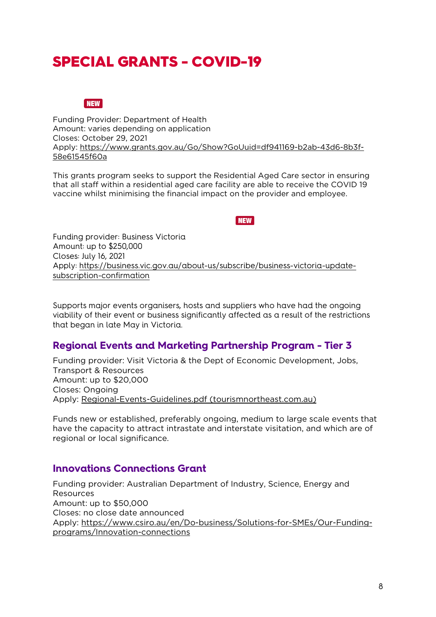# <span id="page-7-0"></span>SPECIAL GRANTS - COVID-19

#### **NEW**

<span id="page-7-1"></span>Funding Provider: Department of Health Amount: varies depending on application Closes: October 29, 2021 Apply: [https://www.grants.gov.au/Go/Show?GoUuid=df941169-b2ab-43d6-8b3f-](https://www.grants.gov.au/Go/Show?GoUuid=df941169-b2ab-43d6-8b3f-58e61545f60a)[58e61545f60a](https://www.grants.gov.au/Go/Show?GoUuid=df941169-b2ab-43d6-8b3f-58e61545f60a)

This grants program seeks to support the Residential Aged Care sector in ensuring that all staff within a residential aged care facility are able to receive the COVID 19 vaccine whilst minimising the financial impact on the provider and employee.

**NEW** 

<span id="page-7-2"></span>Funding provider: Business Victoria Amount: up to \$250,000 Closes: July 16, 2021 Apply: [https://business.vic.gov.au/about-us/subscribe/business-victoria-update](https://business.vic.gov.au/about-us/subscribe/business-victoria-update-subscription-confirmation)[subscription-confirmation](https://business.vic.gov.au/about-us/subscribe/business-victoria-update-subscription-confirmation)

Supports major events organisers, hosts and suppliers who have had the ongoing viability of their event or business significantly affected as a result of the restrictions that began in late May in Victoria.

# <span id="page-7-3"></span>**Regional Events and Marketing Partnership Program - Tier 3**

Funding provider: Visit Victoria & the Dept of Economic Development, Jobs, Transport & Resources Amount: up to \$20,000 Closes: Ongoing Apply: [Regional-Events-Guidelines.pdf \(tourismnortheast.com.au\)](https://www.tourismnortheast.com.au/wp-content/uploads/sites/54/Regional-Events-Guidelines.pdf)

Funds new or established, preferably ongoing, medium to large scale events that have the capacity to attract intrastate and interstate visitation, and which are of regional or local significance.

#### <span id="page-7-4"></span>**Innovations Connections Grant**

Funding provider: Australian Department of Industry, Science, Energy and Resources Amount: up to \$50,000 Closes: no close date announced Apply: [https://www.csiro.au/en/Do-business/Solutions-for-SMEs/Our-Funding](https://www.csiro.au/en/Do-business/Solutions-for-SMEs/Our-Funding-programs/Innovation-connections)[programs/Innovation-connections](https://www.csiro.au/en/Do-business/Solutions-for-SMEs/Our-Funding-programs/Innovation-connections)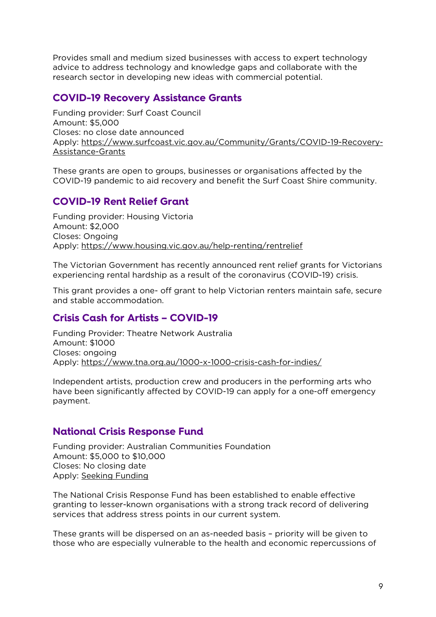Provides small and medium sized businesses with access to expert technology advice to address technology and knowledge gaps and collaborate with the research sector in developing new ideas with commercial potential.

# <span id="page-8-0"></span>**COVID-19 Recovery Assistance Grants**

Funding provider: Surf Coast Council Amount: \$5,000 Closes: no close date announced Apply: [https://www.surfcoast.vic.gov.au/Community/Grants/COVID-19-Recovery-](https://www.surfcoast.vic.gov.au/Community/Grants/COVID-19-Recovery-Assistance-Grants)[Assistance-Grants](https://www.surfcoast.vic.gov.au/Community/Grants/COVID-19-Recovery-Assistance-Grants)

These grants are open to groups, businesses or organisations affected by the COVID-19 pandemic to aid recovery and benefit the Surf Coast Shire community.

# <span id="page-8-1"></span>**COVID-19 Rent Relief Grant**

Funding provider: Housing Victoria Amount: \$2,000 Closes: Ongoing Apply:<https://www.housing.vic.gov.au/help-renting/rentrelief>

The Victorian Government has recently announced rent relief grants for Victorians experiencing rental hardship as a result of the coronavirus (COVID-19) crisis.

This grant provides a one- off grant to help Victorian renters maintain safe, secure and stable accommodation.

#### <span id="page-8-2"></span>**Crisis Cash for Artists – COVID-19**

Funding Provider: Theatre Network Australia Amount: \$1000 Closes: ongoing Apply:<https://www.tna.org.au/1000-x-1000-crisis-cash-for-indies/>

Independent artists, production crew and producers in the performing arts who have been significantly affected by COVID-19 can apply for a one-off emergency payment.

#### <span id="page-8-3"></span>**National Crisis Response Fund**

Funding provider: Australian Communities Foundation Amount: \$5,000 to \$10,000 Closes: No closing date Apply: [Seeking Funding](https://communityfoundation.org.au/making-a-difference/seeking-funding/)

The National Crisis Response Fund has been established to enable effective granting to lesser-known organisations with a strong track record of delivering services that address stress points in our current system.

These grants will be dispersed on an as-needed basis – priority will be given to those who are especially vulnerable to the health and economic repercussions of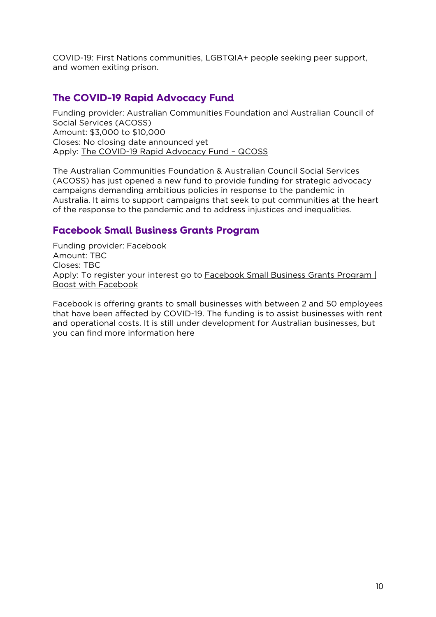COVID-19: First Nations communities, LGBTQIA+ people seeking peer support, and women exiting prison.

# <span id="page-9-0"></span>**The COVID-19 Rapid Advocacy Fund**

Funding provider: Australian Communities Foundation and Australian Council of Social Services (ACOSS) Amount: \$3,000 to \$10,000 Closes: No closing date announced yet Apply: [The COVID-19 Rapid Advocacy Fund –](https://www.qcoss.org.au/grant/the-covid-19-rapid-advocacy-fund/) QCOSS

The Australian Communities Foundation & Australian Council Social Services (ACOSS) has just opened a new fund to provide funding for strategic advocacy campaigns demanding ambitious policies in response to the pandemic in Australia. It aims to support campaigns that seek to put communities at the heart of the response to the pandemic and to address injustices and inequalities.

# <span id="page-9-1"></span>**Facebook Small Business Grants Program**

Funding provider: Facebook Amount: TBC Closes: TBC Apply: To register your interest go to Facebook Small Business Grants Program | [Boost with Facebook](https://www.facebook.com/business/boost/grants?content_id=KKf6RWdyo87L7QO)

Facebook is offering grants to small businesses with between 2 and 50 employees that have been affected by COVID-19. The funding is to assist businesses with rent and operational costs. It is still under development for Australian businesses, but you can find more information here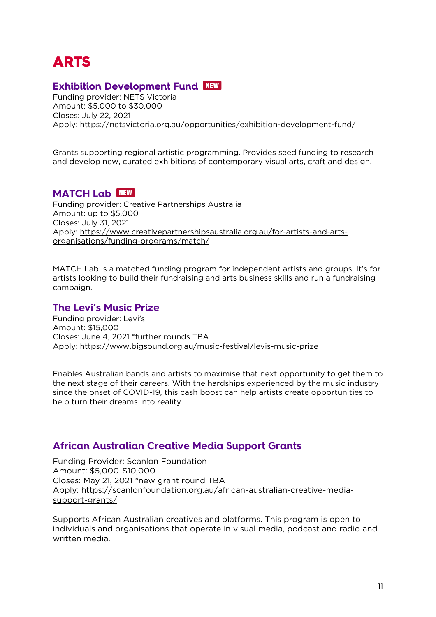# <span id="page-10-0"></span>ARTS

# <span id="page-10-1"></span>**Exhibition Development Fund**

Funding provider: NETS Victoria Amount: \$5,000 to \$30,000 Closes: July 22, 2021 Apply:<https://netsvictoria.org.au/opportunities/exhibition-development-fund/>

<span id="page-10-2"></span>Grants supporting regional artistic programming. Provides seed funding to research and develop new, curated exhibitions of contemporary visual arts, craft and design.

# <span id="page-10-3"></span>**MATCH Lab** NEW

Funding provider: Creative Partnerships Australia Amount: up to \$5,000 Closes: July 31, 2021 Apply: [https://www.creativepartnershipsaustralia.org.au/for-artists-and-arts](https://www.creativepartnershipsaustralia.org.au/for-artists-and-arts-organisations/funding-programs/match/)[organisations/funding-programs/match/](https://www.creativepartnershipsaustralia.org.au/for-artists-and-arts-organisations/funding-programs/match/)

MATCH Lab is a matched funding program for independent artists and groups. It's for artists looking to build their fundraising and arts business skills and run a fundraising campaign.

#### <span id="page-10-4"></span>**The Levi's Music Prize**

Funding provider: Levi's Amount: \$15,000 Closes: June 4, 2021 \*further rounds TBA Apply:<https://www.bigsound.org.au/music-festival/levis-music-prize>

Enables Australian bands and artists to maximise that next opportunity to get them to the next stage of their careers. With the hardships experienced by the music industry since the onset of COVID-19, this cash boost can help artists create opportunities to help turn their dreams into reality.

#### <span id="page-10-5"></span>**African Australian Creative Media Support Grants**

Funding Provider: Scanlon Foundation Amount: \$5,000-\$10,000 Closes: May 21, 2021 \*new grant round TBA Apply: [https://scanlonfoundation.org.au/african-australian-creative-media](https://scanlonfoundation.org.au/african-australian-creative-media-support-grants/)[support-grants/](https://scanlonfoundation.org.au/african-australian-creative-media-support-grants/)

Supports African Australian creatives and platforms. This program is open to individuals and organisations that operate in visual media, podcast and radio and written media.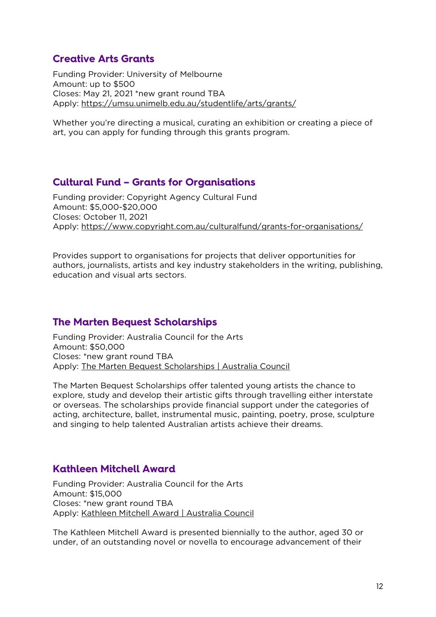# <span id="page-11-0"></span>**Creative Arts Grants**

Funding Provider: University of Melbourne Amount: up to \$500 Closes: May 21, 2021 \*new grant round TBA Apply:<https://umsu.unimelb.edu.au/studentlife/arts/grants/>

Whether you're directing a musical, curating an exhibition or creating a piece of art, you can apply for funding through this grants program.

#### <span id="page-11-1"></span>**Cultural Fund – Grants for Organisations**

Funding provider: Copyright Agency Cultural Fund Amount: \$5,000-\$20,000 Closes: October 11, 2021 Apply:<https://www.copyright.com.au/culturalfund/grants-for-organisations/>

Provides support to organisations for projects that deliver opportunities for authors, journalists, artists and key industry stakeholders in the writing, publishing, education and visual arts sectors.

#### <span id="page-11-2"></span>**The Marten Bequest Scholarships**

Funding Provider: Australia Council for the Arts Amount: \$50,000 Closes: \*new grant round TBA Apply: [The Marten Bequest Scholarships | Australia Council](https://www.australiacouncil.gov.au/funding/funding-index/the-marten-bequest-scholarships/)

The Marten Bequest Scholarships offer talented young artists the chance to explore, study and develop their artistic gifts through travelling either interstate or overseas. The scholarships provide financial support under the categories of acting, architecture, ballet, instrumental music, painting, poetry, prose, sculpture and singing to help talented Australian artists achieve their dreams.

#### <span id="page-11-3"></span>**Kathleen Mitchell Award**

Funding Provider: Australia Council for the Arts Amount: \$15,000 Closes: \*new grant round TBA Apply: [Kathleen Mitchell Award | Australia Council](https://www.australiacouncil.gov.au/funding/funding-index/kathleen-mitchell-award/)

The Kathleen Mitchell Award is presented biennially to the author, aged 30 or under, of an outstanding novel or novella to encourage advancement of their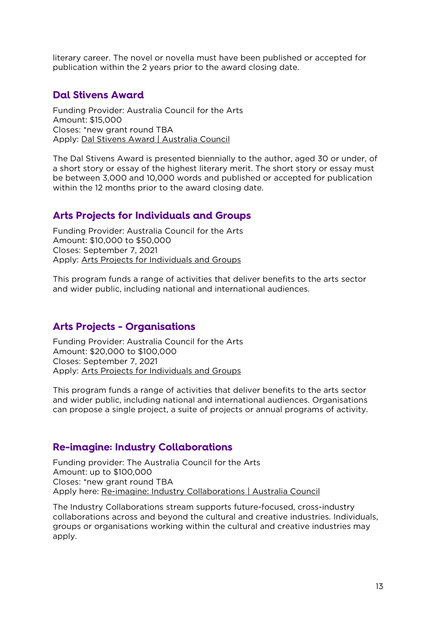literary career. The novel or novella must have been published or accepted for publication within the 2 years prior to the award closing date.

#### <span id="page-12-0"></span>**Dal Stivens Award**

Funding Provider: Australia Council for the Arts Amount: \$15,000 Closes: \*new grant round TBA Apply: [Dal Stivens Award | Australia Council](https://www.australiacouncil.gov.au/funding/funding-index/dal-stivens-award/)

The Dal Stivens Award is presented biennially to the author, aged 30 or under, of a short story or essay of the highest literary merit. The short story or essay must be between 3,000 and 10,000 words and published or accepted for publication within the 12 months prior to the award closing date.

#### <span id="page-12-1"></span>**Arts Projects for Individuals and Groups**

Funding Provider: Australia Council for the Arts Amount: \$10,000 to \$50,000 Closes: September 7, 2021 Apply: [Arts Projects for Individuals and Groups](https://www.australiacouncil.gov.au/funding/funding-index/arts-projects-for-individuals-and-groups/)

This program funds a range of activities that deliver benefits to the arts sector and wider public, including national and international audiences.

#### <span id="page-12-2"></span>**Arts Projects - Organisations**

Funding Provider: Australia Council for the Arts Amount: \$20,000 to \$100,000 Closes: September 7, 2021 Apply: [Arts Projects for Individuals and Groups](https://www.australiacouncil.gov.au/funding/funding-index/arts-projects-for-individuals-and-groups/)

This program funds a range of activities that deliver benefits to the arts sector and wider public, including national and international audiences. Organisations can propose a single project, a suite of projects or annual programs of activity.

#### <span id="page-12-3"></span>**Re-imagine: Industry Collaborations**

Funding provider: The Australia Council for the Arts Amount: up to \$100,000 Closes: \*new grant round TBA Apply here: [Re-imagine: Industry Collaborations | Australia Council](https://www.australiacouncil.gov.au/funding/funding-index/re-imagine-industry-collaborations/)

The Industry Collaborations stream supports future-focused, cross-industry collaborations across and beyond the cultural and creative industries. Individuals, groups or organisations working within the cultural and creative industries may apply.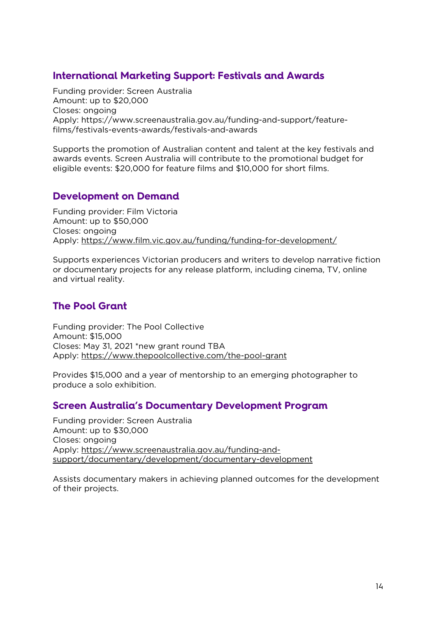# <span id="page-13-0"></span>**International Marketing Support: Festivals and Awards**

Funding provider: Screen Australia Amount: up to \$20,000 Closes: ongoing Apply: https://www.screenaustralia.gov.au/funding-and-support/featurefilms/festivals-events-awards/festivals-and-awards

Supports the promotion of Australian content and talent at the key festivals and awards events. Screen Australia will contribute to the promotional budget for eligible events: \$20,000 for feature films and \$10,000 for short films.

# <span id="page-13-1"></span>**Development on Demand**

Funding provider: Film Victoria Amount: up to \$50,000 Closes: ongoing Apply:<https://www.film.vic.gov.au/funding/funding-for-development/>

Supports experiences Victorian producers and writers to develop narrative fiction or documentary projects for any release platform, including cinema, TV, online and virtual reality.

# <span id="page-13-2"></span>**The Pool Grant**

Funding provider: The Pool Collective Amount: \$15,000 Closes: May 31, 2021 \*new grant round TBA Apply:<https://www.thepoolcollective.com/the-pool-grant>

Provides \$15,000 and a year of mentorship to an emerging photographer to produce a solo exhibition.

#### <span id="page-13-3"></span>**Screen Australia's Documentary Development Program**

Funding provider: Screen Australia Amount: up to \$30,000 Closes: ongoing Apply: [https://www.screenaustralia.gov.au/funding-and](https://www.screenaustralia.gov.au/funding-and-support/documentary/development/documentary-development)[support/documentary/development/documentary-development](https://www.screenaustralia.gov.au/funding-and-support/documentary/development/documentary-development)

Assists documentary makers in achieving planned outcomes for the development of their projects.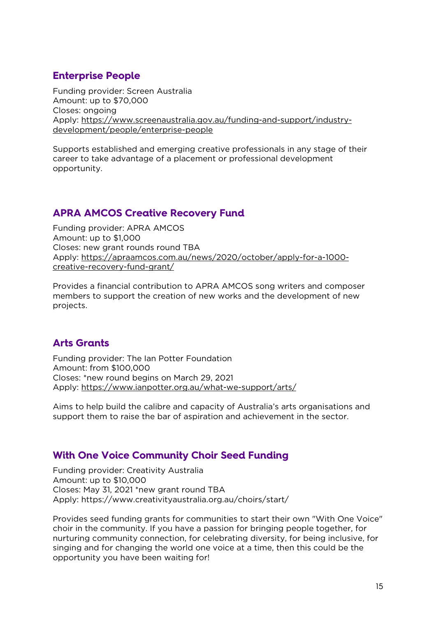# <span id="page-14-0"></span>**Enterprise People**

Funding provider: Screen Australia Amount: up to \$70,000 Closes: ongoing Apply: [https://www.screenaustralia.gov.au/funding-and-support/industry](https://www.screenaustralia.gov.au/funding-and-support/industry-development/people/enterprise-people)[development/people/enterprise-people](https://www.screenaustralia.gov.au/funding-and-support/industry-development/people/enterprise-people)

Supports established and emerging creative professionals in any stage of their career to take advantage of a placement or professional development opportunity.

# <span id="page-14-1"></span>**APRA AMCOS Creative Recovery Fund**

Funding provider: APRA AMCOS Amount: up to \$1,000 Closes: new grant rounds round TBA Apply: [https://apraamcos.com.au/news/2020/october/apply-for-a-1000](https://apraamcos.com.au/news/2020/october/apply-for-a-1000-creative-recovery-fund-grant/) [creative-recovery-fund-grant/](https://apraamcos.com.au/news/2020/october/apply-for-a-1000-creative-recovery-fund-grant/)

Provides a financial contribution to APRA AMCOS song writers and composer members to support the creation of new works and the development of new projects.

# <span id="page-14-2"></span>**Arts Grants**

Funding provider: The Ian Potter Foundation Amount: from \$100,000 Closes: \*new round begins on March 29, 2021 Apply:<https://www.ianpotter.org.au/what-we-support/arts/>

Aims to help build the calibre and capacity of Australia's arts organisations and support them to raise the bar of aspiration and achievement in the sector.

# <span id="page-14-3"></span>**With One Voice Community Choir Seed Funding**

Funding provider: Creativity Australia Amount: up to \$10,000 Closes: May 31, 2021 \*new grant round TBA Apply: https://www.creativityaustralia.org.au/choirs/start/

Provides seed funding grants for communities to start their own "With One Voice" choir in the community. If you have a passion for bringing people together, for nurturing community connection, for celebrating diversity, for being inclusive, for singing and for changing the world one voice at a time, then this could be the opportunity you have been waiting for!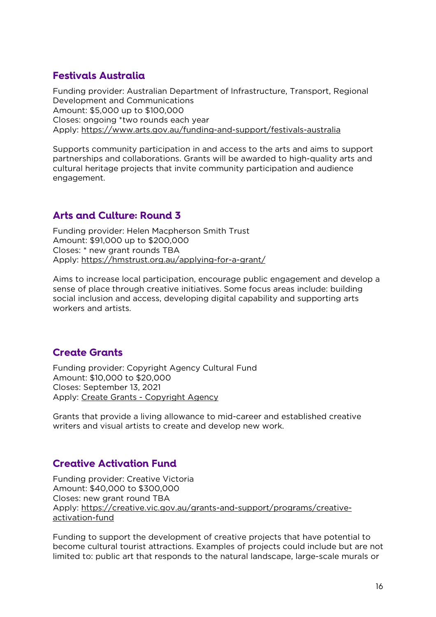# <span id="page-15-0"></span>**Festivals Australia**

Funding provider: Australian Department of Infrastructure, Transport, Regional Development and Communications Amount: \$5,000 up to \$100,000 Closes: ongoing \*two rounds each year Apply:<https://www.arts.gov.au/funding-and-support/festivals-australia>

Supports community participation in and access to the arts and aims to support partnerships and collaborations. Grants will be awarded to high-quality arts and cultural heritage projects that invite community participation and audience engagement.

# <span id="page-15-1"></span>**Arts and Culture: Round 3**

Funding provider: Helen Macpherson Smith Trust Amount: \$91,000 up to \$200,000 Closes: \* new grant rounds TBA Apply:<https://hmstrust.org.au/applying-for-a-grant/>

Aims to increase local participation, encourage public engagement and develop a sense of place through creative initiatives. Some focus areas include: building social inclusion and access, developing digital capability and supporting arts workers and artists.

# <span id="page-15-2"></span>**Create Grants**

Funding provider: Copyright Agency Cultural Fund Amount: \$10,000 to \$20,000 Closes: September 13, 2021 Apply: Create Grants - [Copyright Agency](https://www.copyright.com.au/culturalfund/individual-grants/create-grants/)

Grants that provide a living allowance to mid-career and established creative writers and visual artists to create and develop new work.

# <span id="page-15-3"></span>**Creative Activation Fund**

Funding provider: Creative Victoria Amount: \$40,000 to \$300,000 Closes: new grant round TBA Apply: [https://creative.vic.gov.au/grants-and-support/programs/creative](https://creative.vic.gov.au/grants-and-support/programs/creative-activation-fund)[activation-fund](https://creative.vic.gov.au/grants-and-support/programs/creative-activation-fund)

Funding to support the development of creative projects that have potential to become cultural tourist attractions. Examples of projects could include but are not limited to: public art that responds to the natural landscape, large-scale murals or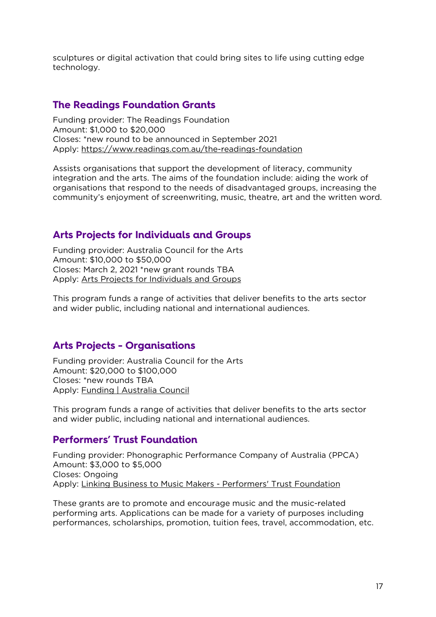sculptures or digital activation that could bring sites to life using cutting edge technology.

#### <span id="page-16-0"></span>**The Readings Foundation Grants**

Funding provider: The Readings Foundation Amount: \$1,000 to \$20,000 Closes: \*new round to be announced in September 2021 Apply:<https://www.readings.com.au/the-readings-foundation>

Assists organisations that support the development of literacy, community integration and the arts. The aims of the foundation include: aiding the work of organisations that respond to the needs of disadvantaged groups, increasing the community's enjoyment of screenwriting, music, theatre, art and the written word.

#### <span id="page-16-1"></span>**Arts Projects for Individuals and Groups**

Funding provider: Australia Council for the Arts Amount: \$10,000 to \$50,000 Closes: March 2, 2021 \*new grant rounds TBA Apply: [Arts Projects for Individuals and Groups](https://www.australiacouncil.gov.au/funding/funding-index/arts-projects-for-individuals-and-groups/)

This program funds a range of activities that deliver benefits to the arts sector and wider public, including national and international audiences.

#### <span id="page-16-2"></span>**Arts Projects - Organisations**

Funding provider: Australia Council for the Arts Amount: \$20,000 to \$100,000 Closes: \*new rounds TBA Apply: [Funding | Australia Council](https://www.australiacouncil.gov.au/funding/)

This program funds a range of activities that deliver benefits to the arts sector and wider public, including national and international audiences.

#### <span id="page-16-3"></span>**Performers' Trust Foundation**

Funding provider: Phonographic Performance Company of Australia (PPCA) Amount: \$3,000 to \$5,000 Closes: Ongoing Apply: [Linking Business to Music Makers -](http://www.ppca.com.au/ppca-about-us/ppca-performers-trust-foundation/) Performers' Trust Foundation

These grants are to promote and encourage music and the music-related performing arts. Applications can be made for a variety of purposes including performances, scholarships, promotion, tuition fees, travel, accommodation, etc.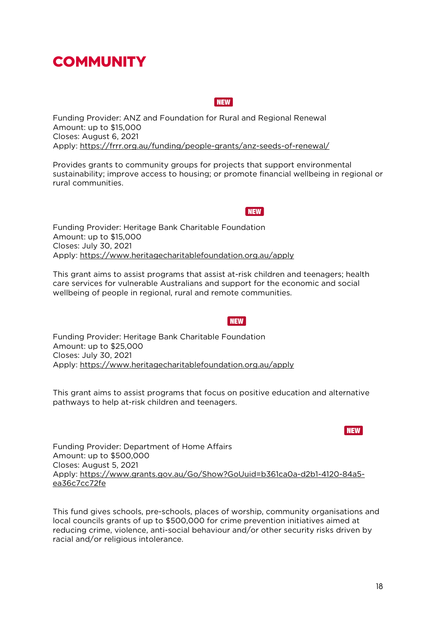# <span id="page-17-0"></span>COMMUNITY

<span id="page-17-1"></span>Funding Provider: ANZ and Foundation for Rural and Regional Renewal Amount: up to \$15,000 Closes: August 6, 2021 Apply: <https://frrr.org.au/funding/people-grants/anz-seeds-of-renewal/>

Provides grants to community groups for projects that support environmental sustainability; improve access to housing; or promote financial wellbeing in regional or rural communities.

<span id="page-17-2"></span>Funding Provider: Heritage Bank Charitable Foundation Amount: up to \$15,000 Closes: July 30, 2021 Apply: <https://www.heritagecharitablefoundation.org.au/apply>

This grant aims to assist programs that assist at-risk children and teenagers; health care services for vulnerable Australians and support for the economic and social wellbeing of people in regional, rural and remote communities.

<span id="page-17-3"></span>Funding Provider: Heritage Bank Charitable Foundation Amount: up to \$25,000 Closes: July 30, 2021 Apply: <https://www.heritagecharitablefoundation.org.au/apply>

This grant aims to assist programs that focus on positive education and alternative pathways to help at-risk children and teenagers.

<span id="page-17-4"></span>Funding Provider: Department of Home Affairs Amount: up to \$500,000 Closes: August 5, 2021 Apply: [https://www.grants.gov.au/Go/Show?GoUuid=b361ca0a-d2b1-4120-84a5](https://www.grants.gov.au/Go/Show?GoUuid=b361ca0a-d2b1-4120-84a5-ea36c7cc72fe) [ea36c7cc72fe](https://www.grants.gov.au/Go/Show?GoUuid=b361ca0a-d2b1-4120-84a5-ea36c7cc72fe)

This fund gives schools, pre-schools, places of worship, community organisations and local councils grants of up to \$500,000 for crime prevention initiatives aimed at reducing crime, violence, anti-social behaviour and/or other security risks driven by racial and/or religious intolerance.

#### **NEW**

**NEW** 

#### **NEW**

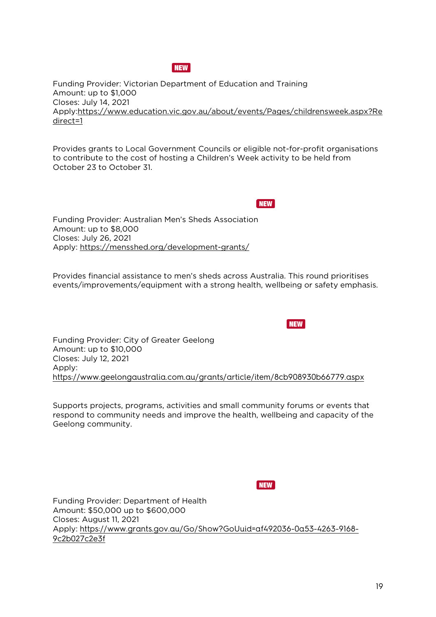#### NEW

<span id="page-18-0"></span>Funding Provider: Victorian Department of Education and Training Amount: up to \$1,000 Closes: July 14, 2021 Apply[:https://www.education.vic.gov.au/about/events/Pages/childrensweek.aspx?Re](https://www.education.vic.gov.au/about/events/Pages/childrensweek.aspx?Redirect=1) [direct=1](https://www.education.vic.gov.au/about/events/Pages/childrensweek.aspx?Redirect=1)

Provides grants to Local Government Councils or eligible not-for-profit organisations to contribute to the cost of hosting a Children's Week activity to be held from October 23 to October 31.

NEW

**NEW** 

<span id="page-18-1"></span>Funding Provider: Australian Men's Sheds Association Amount: up to \$8,000 Closes: July 26, 2021 Apply: <https://mensshed.org/development-grants/>

Provides financial assistance to men's sheds across Australia. This round prioritises events/improvements/equipment with a strong health, wellbeing or safety emphasis.

<span id="page-18-2"></span>Funding Provider: City of Greater Geelong Amount: up to \$10,000 Closes: July 12, 2021 Apply: <https://www.geelongaustralia.com.au/grants/article/item/8cb908930b66779.aspx>

Supports projects, programs, activities and small community forums or events that respond to community needs and improve the health, wellbeing and capacity of the Geelong community.

**NEW** 

<span id="page-18-3"></span>Funding Provider: Department of Health Amount: \$50,000 up to \$600,000 Closes: August 11, 2021 Apply: [https://www.grants.gov.au/Go/Show?GoUuid=af492036-0a53-4263-9168-](https://www.grants.gov.au/Go/Show?GoUuid=af492036-0a53-4263-9168-9c2b027c2e3f) [9c2b027c2e3f](https://www.grants.gov.au/Go/Show?GoUuid=af492036-0a53-4263-9168-9c2b027c2e3f)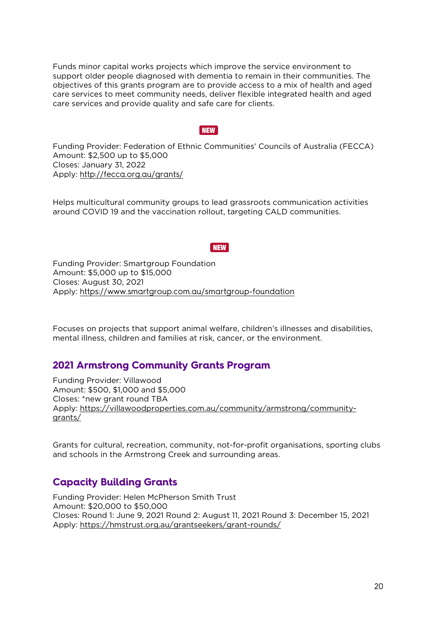Funds minor capital works projects which improve the service environment to support older people diagnosed with dementia to remain in their communities. The objectives of this grants program are to provide access to a mix of health and aged care services to meet community needs, deliver flexible integrated health and aged care services and provide quality and safe care for clients.

#### NEW

<span id="page-19-0"></span>Funding Provider: Federation of Ethnic Communities' Councils of Australia (FECCA) Amount: \$2,500 up to \$5,000 Closes: January 31, 2022 Apply: <http://fecca.org.au/grants/>

Helps multicultural community groups to lead grassroots communication activities around COVID 19 and the vaccination rollout, targeting CALD communities.

#### **NEW**

<span id="page-19-1"></span>Funding Provider: Smartgroup Foundation Amount: \$5,000 up to \$15,000 Closes: August 30, 2021 Apply: <https://www.smartgroup.com.au/smartgroup-foundation>

Focuses on projects that support animal welfare, children's illnesses and disabilities, mental illness, children and families at risk, cancer, or the environment.

#### <span id="page-19-2"></span>**2021 Armstrong Community Grants Program**

Funding Provider: Villawood Amount: \$500, \$1,000 and \$5,000 Closes: \*new grant round TBA Apply: [https://villawoodproperties.com.au/community/armstrong/community](https://villawoodproperties.com.au/community/armstrong/community-grants/)[grants/](https://villawoodproperties.com.au/community/armstrong/community-grants/)

Grants for cultural, recreation, community, not-for-profit organisations, sporting clubs and schools in the Armstrong Creek and surrounding areas.

#### <span id="page-19-3"></span>**Capacity Building Grants**

Funding Provider: Helen McPherson Smith Trust Amount: \$20,000 to \$50,000 Closes: Round 1: June 9, 2021 Round 2: August 11, 2021 Round 3: December 15, 2021 Apply:<https://hmstrust.org.au/grantseekers/grant-rounds/>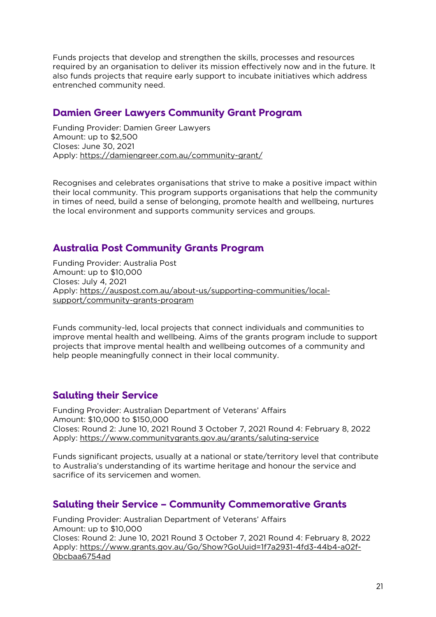Funds projects that develop and strengthen the skills, processes and resources required by an organisation to deliver its mission effectively now and in the future. It also funds projects that require early support to incubate initiatives which address entrenched community need.

#### <span id="page-20-0"></span>**Damien Greer Lawyers Community Grant Program**

Funding Provider: Damien Greer Lawyers Amount: up to \$2,500 Closes: June 30, 2021 Apply:<https://damiengreer.com.au/community-grant/>

Recognises and celebrates organisations that strive to make a positive impact within their local community. This program supports organisations that help the community in times of need, build a sense of belonging, promote health and wellbeing, nurtures the local environment and supports community services and groups.

# <span id="page-20-1"></span>**Australia Post Community Grants Program**

Funding Provider: Australia Post Amount: up to \$10,000 Closes: July 4, 2021 Apply: [https://auspost.com.au/about-us/supporting-communities/local](https://auspost.com.au/about-us/supporting-communities/local-support/community-grants-program)[support/community-grants-program](https://auspost.com.au/about-us/supporting-communities/local-support/community-grants-program)

Funds community-led, local projects that connect individuals and communities to improve mental health and wellbeing. Aims of the grants program include to support projects that improve mental health and wellbeing outcomes of a community and help people meaningfully connect in their local community.

# <span id="page-20-2"></span>**Saluting their Service**

Funding Provider: Australian Department of Veterans' Affairs Amount: \$10,000 to \$150,000 Closes: Round 2: June 10, 2021 Round 3 October 7, 2021 Round 4: February 8, 2022 Apply:<https://www.communitygrants.gov.au/grants/saluting-service>

Funds significant projects, usually at a national or state/territory level that contribute to Australia's understanding of its wartime heritage and honour the service and sacrifice of its servicemen and women.

# <span id="page-20-3"></span>**Saluting their Service – Community Commemorative Grants**

Funding Provider: Australian Department of Veterans' Affairs Amount: up to \$10,000 Closes: Round 2: June 10, 2021 Round 3 October 7, 2021 Round 4: February 8, 2022 Apply: [https://www.grants.gov.au/Go/Show?GoUuid=1f7a2931-4fd3-44b4-a02f-](https://www.grants.gov.au/Go/Show?GoUuid=1f7a2931-4fd3-44b4-a02f-0bcbaa6754ad)[0bcbaa6754ad](https://www.grants.gov.au/Go/Show?GoUuid=1f7a2931-4fd3-44b4-a02f-0bcbaa6754ad)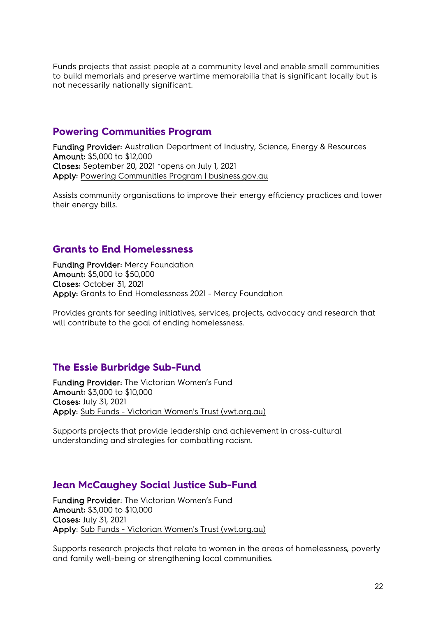Funds projects that assist people at a community level and enable small communities to build memorials and preserve wartime memorabilia that is significant locally but is not necessarily nationally significant.

#### <span id="page-21-0"></span>**Powering Communities Program**

Funding Provider: Australian Department of Industry, Science, Energy & Resources Amount: \$5,000 to \$12,000 Closes: September 20, 2021 \*opens on July 1, 2021 Apply: [Powering Communities Program | business.gov.au](https://business.gov.au/grants-and-programs/powering-communities-program)

Assists community organisations to improve their energy efficiency practices and lower their energy bills.

#### <span id="page-21-1"></span>**Grants to End Homelessness**

Funding Provider: Mercy Foundation Amount: \$5,000 to \$50,000 Closes: October 31, 2021 Apply: [Grants to End Homelessness 2021 -](https://www.mercyfoundation.com.au/social-justice-grants/grants-to-end-homelessness/) Mercy Foundation

Provides grants for seeding initiatives, services, projects, advocacy and research that will contribute to the goal of ending homelessness.

#### <span id="page-21-2"></span>**The Essie Burbridge Sub-Fund**

Funding Provider: The Victorian Women's Fund Amount: \$3,000 to \$10,000 Closes: July 31, 2021 Apply: Sub Funds - [Victorian Women's Trust \(vwt.org.au\)](https://www.vwt.org.au/grants/sub-funds/)

Supports projects that provide leadership and achievement in cross-cultural understanding and strategies for combatting racism.

#### <span id="page-21-3"></span>**Jean McCaughey Social Justice Sub-Fund**

Funding Provider: The Victorian Women's Fund Amount: \$3,000 to \$10,000 Closes: July 31, 2021 Apply: Sub Funds - [Victorian Women's Trust \(vwt.org.au\)](https://www.vwt.org.au/grants/sub-funds/)

Supports research projects that relate to women in the areas of homelessness, poverty and family well-being or strengthening local communities.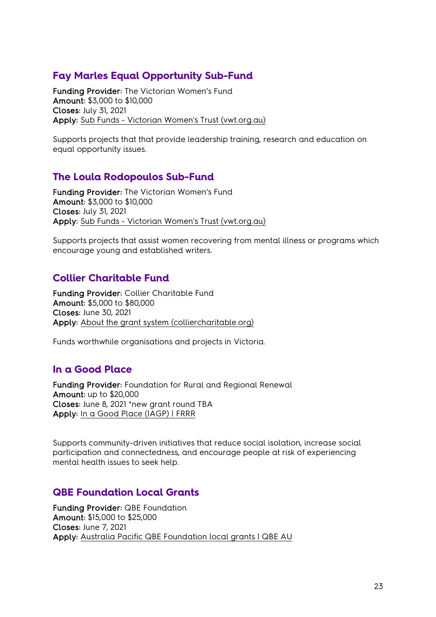# <span id="page-22-0"></span>**Fay Marles Equal Opportunity Sub-Fund**

Funding Provider: The Victorian Women's Fund Amount: \$3,000 to \$10,000 Closes: July 31, 2021 Apply: Sub Funds - [Victorian Women's Trust \(vwt.org.au\)](https://www.vwt.org.au/grants/sub-funds/)

Supports projects that that provide leadership training, research and education on equal opportunity issues.

# <span id="page-22-1"></span>**The Loula Rodopoulos Sub-Fund**

Funding Provider: The Victorian Women's Fund Amount: \$3,000 to \$10,000 Closes: July 31, 2021 Apply: Sub Funds - [Victorian Women's Trust \(vwt.org.au\)](https://www.vwt.org.au/grants/sub-funds/)

Supports projects that assist women recovering from mental illness or programs which encourage young and established writers.

# <span id="page-22-2"></span>**Collier Charitable Fund**

Funding Provider: Collier Charitable Fund Amount: \$5,000 to \$80,000 Closes: June 30, 2021 Apply: [About the grant system \(colliercharitable.org\)](https://www.colliercharitable.org/CCFWebsite/Grants/About_the_grant_system/CCFWebsite/Grant_Application/About_the_grant_system.aspx?hkey=a0181991-cd6e-44ca-879d-044f4e513b16)

Funds worthwhile organisations and projects in Victoria.

#### <span id="page-22-3"></span>**In a Good Place**

Funding Provider: Foundation for Rural and Regional Renewal Amount: up to \$20,000 Closes: June 8, 2021 \*new grant round TBA Apply: [In a Good Place \(IAGP\) | FRRR](https://frrr.org.au/funding/place/in-a-good-place/)

Supports community-driven initiatives that reduce social isolation, increase social participation and connectedness, and encourage people at risk of experiencing mental health issues to seek help.

#### <span id="page-22-4"></span>**QBE Foundation Local Grants**

Funding Provider: QBE Foundation Amount: \$15,000 to \$25,000 Closes: June 7, 2021 Apply: [Australia Pacific QBE Foundation local grants | QBE AU](https://www.qbe.com/au/about/sponsorship-community/the-qbe-foundation/local-grants)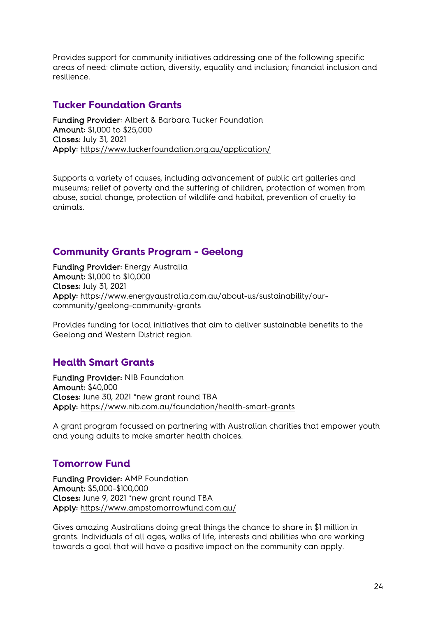Provides support for community initiatives addressing one of the following specific areas of need: climate action, diversity, equality and inclusion; financial inclusion and resilience.

#### <span id="page-23-0"></span>**Tucker Foundation Grants**

Funding Provider: Albert & Barbara Tucker Foundation Amount: \$1,000 to \$25,000 Closes: July 31, 2021 Apply:<https://www.tuckerfoundation.org.au/application/>

Supports a variety of causes, including advancement of public art galleries and museums; relief of poverty and the suffering of children, protection of women from abuse, social change, protection of wildlife and habitat, prevention of cruelty to animals.

# <span id="page-23-1"></span>**Community Grants Program - Geelong**

Funding Provider: Energy Australia Amount: \$1,000 to \$10,000 Closes: July 31, 2021 Apply: [https://www.energyaustralia.com.au/about-us/sustainability/our](https://www.energyaustralia.com.au/about-us/sustainability/our-community/geelong-community-grants)[community/geelong-community-grants](https://www.energyaustralia.com.au/about-us/sustainability/our-community/geelong-community-grants)

Provides funding for local initiatives that aim to deliver sustainable benefits to the Geelong and Western District region.

# <span id="page-23-2"></span>**Health Smart Grants**

Funding Provider: NIB Foundation Amount: \$40,000 Closes: June 30, 2021 \*new grant round TBA Apply:<https://www.nib.com.au/foundation/health-smart-grants>

A grant program focussed on partnering with Australian charities that empower youth and young adults to make smarter health choices.

# <span id="page-23-3"></span>**Tomorrow Fund**

Funding Provider: AMP Foundation Amount: \$5,000-\$100,000 Closes: June 9, 2021 \*new grant round TBA Apply:<https://www.ampstomorrowfund.com.au/>

Gives amazing Australians doing great things the chance to share in \$1 million in grants. Individuals of all ages, walks of life, interests and abilities who are working towards a goal that will have a positive impact on the community can apply.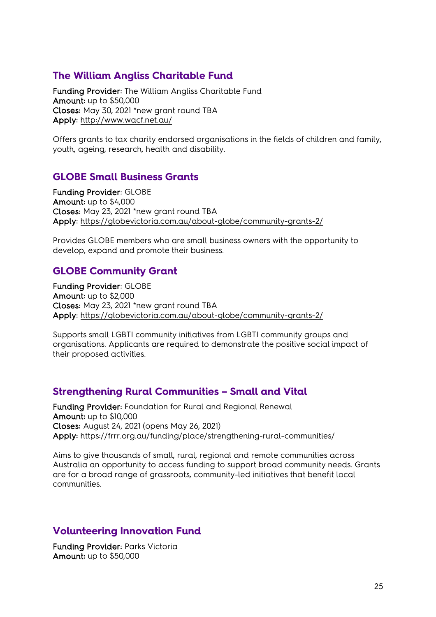#### <span id="page-24-0"></span>**The William Angliss Charitable Fund**

Funding Provider: The William Angliss Charitable Fund Amount: up to \$50,000 Closes: May 30, 2021 \*new grant round TBA Apply:<http://www.wacf.net.au/>

Offers grants to tax charity endorsed organisations in the fields of children and family, youth, ageing, research, health and disability.

#### <span id="page-24-1"></span>**GLOBE Small Business Grants**

Funding Provider: GLOBE Amount: up to \$4,000 Closes: May 23, 2021 \*new grant round TBA Apply:<https://globevictoria.com.au/about-globe/community-grants-2/>

Provides GLOBE members who are small business owners with the opportunity to develop, expand and promote their business.

#### <span id="page-24-2"></span>**GLOBE Community Grant**

Funding Provider: GLOBE Amount: up to \$2,000 Closes: May 23, 2021 \*new grant round TBA Apply:<https://globevictoria.com.au/about-globe/community-grants-2/>

Supports small LGBTI community initiatives from LGBTI community groups and organisations. Applicants are required to demonstrate the positive social impact of their proposed activities.

#### <span id="page-24-3"></span>**Strengthening Rural Communities – Small and Vital**

Funding Provider: Foundation for Rural and Regional Renewal Amount: up to \$10,000 Closes: August 24, 2021 (opens May 26, 2021) Apply:<https://frrr.org.au/funding/place/strengthening-rural-communities/>

Aims to give thousands of small, rural, regional and remote communities across Australia an opportunity to access funding to support broad community needs. Grants are for a broad range of grassroots, community-led initiatives that benefit local communities.

#### <span id="page-24-4"></span>**Volunteering Innovation Fund**

Funding Provider: Parks Victoria Amount: up to \$50,000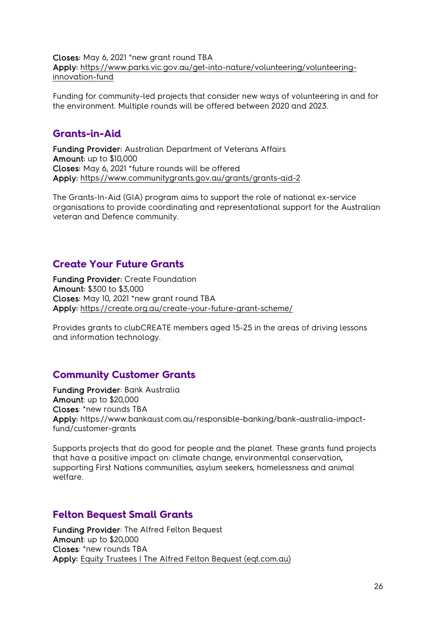Closes: May 6, 2021 \*new grant round TBA Apply: [https://www.parks.vic.gov.au/get-into-nature/volunteering/volunteering](https://www.parks.vic.gov.au/get-into-nature/volunteering/volunteering-innovation-fund)[innovation-fund](https://www.parks.vic.gov.au/get-into-nature/volunteering/volunteering-innovation-fund)

Funding for community-led projects that consider new ways of volunteering in and for the environment. Multiple rounds will be offered between 2020 and 2023.

#### <span id="page-25-0"></span>**Grants-in-Aid**

Funding Provider: Australian Department of Veterans Affairs Amount: up to \$10,000 Closes: May 6, 2021 \*future rounds will be offered Apply:<https://www.communitygrants.gov.au/grants/grants-aid-2>

The Grants-In-Aid (GIA) program aims to support the role of national ex-service organisations to provide coordinating and representational support for the Australian veteran and Defence community.

#### <span id="page-25-1"></span>**Create Your Future Grants**

Funding Provider: Create Foundation Amount: \$300 to \$3,000 Closes: May 10, 2021 \*new grant round TBA Apply:<https://create.org.au/create-your-future-grant-scheme/>

Provides grants to clubCREATE members aged 15-25 in the areas of driving lessons and information technology.

# <span id="page-25-2"></span>**Community Customer Grants**

Funding Provider: Bank Australia Amount: up to \$20,000 Closes: \*new rounds TBA Apply: https://www.bankaust.com.au/responsible-banking/bank-australia-impactfund/customer-grants

Supports projects that do good for people and the planet. These grants fund projects that have a positive impact on: climate change, environmental conservation, supporting First Nations communities, asylum seekers, homelessness and animal welfare.

#### <span id="page-25-3"></span>**Felton Bequest Small Grants**

Funding Provider: The Alfred Felton Bequest Amount: up to \$20,000 Closes: \*new rounds TBA Apply: [Equity Trustees | The Alfred Felton Bequest \(eqt.com.au\)](https://www.eqt.com.au/philanthropy/the-alfred-felton-bequest)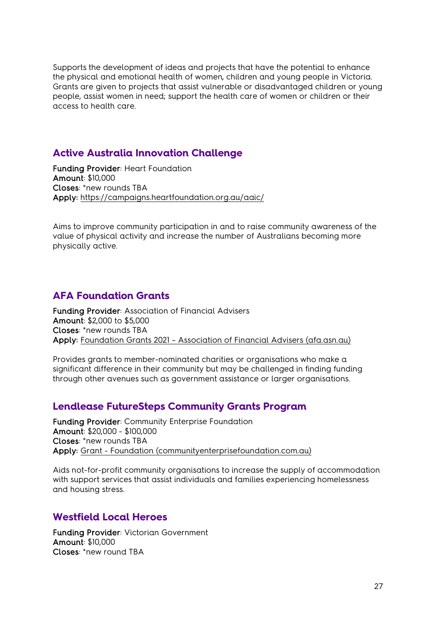Supports the development of ideas and projects that have the potential to enhance the physical and emotional health of women, children and young people in Victoria. Grants are given to projects that assist vulnerable or disadvantaged children or young people, assist women in need; support the health care of women or children or their access to health care.

#### <span id="page-26-0"></span>**Active Australia Innovation Challenge**

Funding Provider: Heart Foundation Amount: \$10,000 Closes: \*new rounds TBA Apply:<https://campaigns.heartfoundation.org.au/aaic/>

Aims to improve community participation in and to raise community awareness of the value of physical activity and increase the number of Australians becoming more physically active.

# <span id="page-26-1"></span>**AFA Foundation Grants**

Funding Provider: Association of Financial Advisers Amount: \$2,000 to \$5,000 Closes: \*new rounds TBA Apply: Foundation Grants 2021 – [Association of Financial Advisers \(afa.asn.au\)](https://www.afa.asn.au/foundation-grants-2021)

Provides grants to member-nominated charities or organisations who make a significant difference in their community but may be challenged in finding funding through other avenues such as government assistance or larger organisations.

#### <span id="page-26-2"></span>**Lendlease FutureSteps Community Grants Program**

Funding Provider: Community Enterprise Foundation Amount: \$20,000 - \$100,000 Closes: \*new rounds TBA Apply: Grant - [Foundation \(communityenterprisefoundation.com.au\)](https://cia.communityenterprisefoundation.com.au/Program/Index/1)

Aids not-for-profit community organisations to increase the supply of accommodation with support services that assist individuals and families experiencing homelessness and housing stress.

#### <span id="page-26-3"></span>**Westfield Local Heroes**

Funding Provider: Victorian Government Amount: \$10,000 Closes: \*new round TBA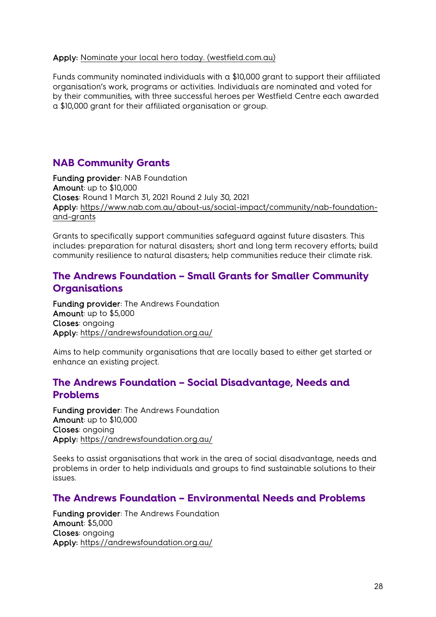#### Apply: [Nominate your local hero today. \(westfield.com.au\)](https://www.westfield.com.au/local-heroes)

Funds community nominated individuals with a \$10,000 grant to support their affiliated organisation's work, programs or activities. Individuals are nominated and voted for by their communities, with three successful heroes per Westfield Centre each awarded a \$10,000 grant for their affiliated organisation or group.

# <span id="page-27-0"></span>**NAB Community Grants**

Funding provider: NAB Foundation Amount: up to \$10,000 Closes: Round 1 March 31, 2021 Round 2 July 30, 2021 Apply: [https://www.nab.com.au/about-us/social-impact/community/nab-foundation](https://www.nab.com.au/about-us/social-impact/community/nab-foundation-and-grants)[and-grants](https://www.nab.com.au/about-us/social-impact/community/nab-foundation-and-grants)

Grants to specifically support communities safeguard against future disasters. This includes: preparation for natural disasters; short and long term recovery efforts; build community resilience to natural disasters; help communities reduce their climate risk.

### <span id="page-27-1"></span>**The Andrews Foundation – Small Grants for Smaller Community Organisations**

Funding provider: The Andrews Foundation Amount: up to \$5,000 Closes: ongoing Apply:<https://andrewsfoundation.org.au/>

Aims to help community organisations that are locally based to either get started or enhance an existing project.

#### <span id="page-27-2"></span>**The Andrews Foundation – Social Disadvantage, Needs and Problems**

Funding provider: The Andrews Foundation Amount: up to \$10,000 Closes: ongoing Apply:<https://andrewsfoundation.org.au/>

Seeks to assist organisations that work in the area of social disadvantage, needs and problems in order to help individuals and groups to find sustainable solutions to their issues.

#### <span id="page-27-3"></span>**The Andrews Foundation – Environmental Needs and Problems**

Funding provider: The Andrews Foundation Amount: \$5,000 Closes: ongoing Apply:<https://andrewsfoundation.org.au/>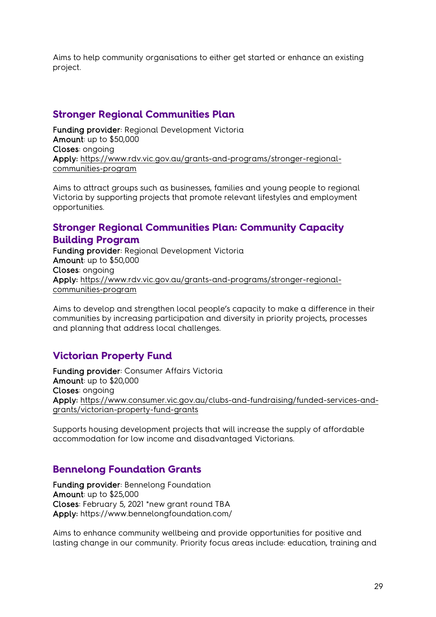Aims to help community organisations to either get started or enhance an existing project.

# <span id="page-28-0"></span>**Stronger Regional Communities Plan**

Funding provider: Regional Development Victoria Amount: up to \$50,000 Closes: ongoing Apply: [https://www.rdv.vic.gov.au/grants-and-programs/stronger-regional](https://www.rdv.vic.gov.au/grants-and-programs/stronger-regional-communities-program)[communities-program](https://www.rdv.vic.gov.au/grants-and-programs/stronger-regional-communities-program)

Aims to attract groups such as businesses, families and young people to regional Victoria by supporting projects that promote relevant lifestyles and employment opportunities.

# <span id="page-28-1"></span>**Stronger Regional Communities Plan: Community Capacity**

#### **Building Program**

Funding provider: Regional Development Victoria Amount: up to \$50,000 Closes: ongoing Apply: [https://www.rdv.vic.gov.au/grants-and-programs/stronger-regional](https://www.rdv.vic.gov.au/grants-and-programs/stronger-regional-communities-program)[communities-program](https://www.rdv.vic.gov.au/grants-and-programs/stronger-regional-communities-program)

Aims to develop and strengthen local people's capacity to make a difference in their communities by increasing participation and diversity in priority projects, processes and planning that address local challenges.

# <span id="page-28-2"></span>**Victorian Property Fund**

Funding provider: Consumer Affairs Victoria Amount: up to \$20,000 Closes: ongoing Apply: [https://www.consumer.vic.gov.au/clubs-and-fundraising/funded-services-and](https://www.consumer.vic.gov.au/clubs-and-fundraising/funded-services-and-grants/victorian-property-fund-grants)[grants/victorian-property-fund-grants](https://www.consumer.vic.gov.au/clubs-and-fundraising/funded-services-and-grants/victorian-property-fund-grants)

Supports housing development projects that will increase the supply of affordable accommodation for low income and disadvantaged Victorians.

# <span id="page-28-3"></span>**Bennelong Foundation Grants**

Funding provider: Bennelong Foundation Amount: up to \$25,000 Closes: February 5, 2021 \*new grant round TBA Apply: https://www.bennelongfoundation.com/

Aims to enhance community wellbeing and provide opportunities for positive and lasting change in our community. Priority focus areas include: education, training and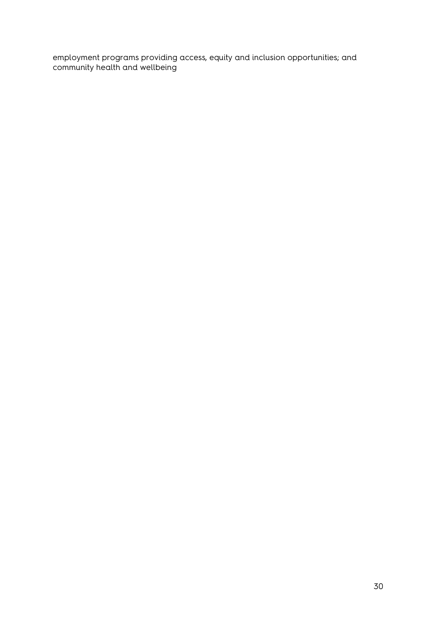employment programs providing access, equity and inclusion opportunities; and community health and wellbeing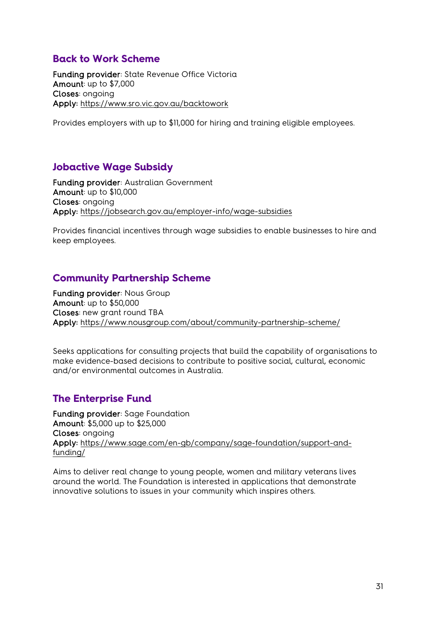# <span id="page-30-0"></span>**Back to Work Scheme**

Funding provider: State Revenue Office Victoria Amount: up to \$7,000 Closes: ongoing Apply:<https://www.sro.vic.gov.au/backtowork>

Provides employers with up to \$11,000 for hiring and training eligible employees.

# <span id="page-30-1"></span>**Jobactive Wage Subsidy**

Funding provider: Australian Government Amount: up to \$10,000 Closes: ongoing Apply:<https://jobsearch.gov.au/employer-info/wage-subsidies>

Provides financial incentives through wage subsidies to enable businesses to hire and keep employees.

# <span id="page-30-2"></span>**Community Partnership Scheme**

Funding provider: Nous Group Amount: up to \$50,000 Closes: new grant round TBA Apply:<https://www.nousgroup.com/about/community-partnership-scheme/>

Seeks applications for consulting projects that build the capability of organisations to make evidence-based decisions to contribute to positive social, cultural, economic and/or environmental outcomes in Australia.

# <span id="page-30-3"></span>**The Enterprise Fund**

Funding provider: Sage Foundation Amount: \$5,000 up to \$25,000 Closes: ongoing Apply: [https://www.sage.com/en-gb/company/sage-foundation/support-and](https://www.sage.com/en-gb/company/sage-foundation/support-and-funding/)[funding/](https://www.sage.com/en-gb/company/sage-foundation/support-and-funding/)

Aims to deliver real change to young people, women and military veterans lives around the world. The Foundation is interested in applications that demonstrate innovative solutions to issues in your community which inspires others.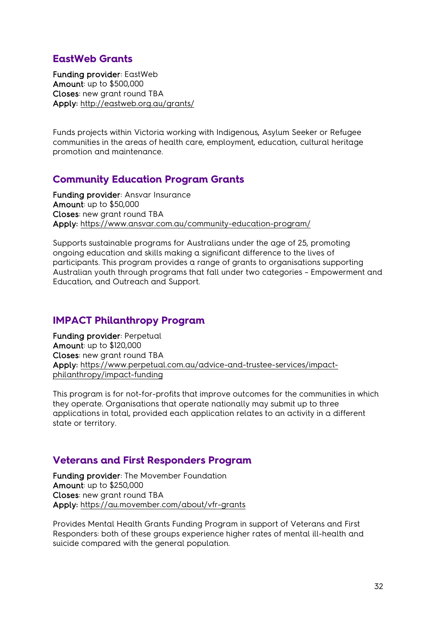### <span id="page-31-0"></span>**EastWeb Grants**

Funding provider: EastWeb Amount: up to \$500,000 Closes: new grant round TBA Apply:<http://eastweb.org.au/grants/>

Funds projects within Victoria working with Indigenous, Asylum Seeker or Refugee communities in the areas of health care, employment, education, cultural heritage promotion and maintenance.

# <span id="page-31-1"></span>**Community Education Program Grants**

Funding provider: Ansvar Insurance Amount: up to \$50,000 Closes: new grant round TBA Apply:<https://www.ansvar.com.au/community-education-program/>

Supports sustainable programs for Australians under the age of 25, promoting ongoing education and skills making a significant difference to the lives of participants. This program provides a range of grants to organisations supporting Australian youth through programs that fall under two categories – Empowerment and Education, and Outreach and Support.

#### <span id="page-31-2"></span>**IMPACT Philanthropy Program**

Funding provider: Perpetual Amount: up to \$120,000 Closes: new grant round TBA Apply: [https://www.perpetual.com.au/advice-and-trustee-services/impact](https://www.perpetual.com.au/advice-and-trustee-services/impact-philanthropy/impact-funding)[philanthropy/impact-funding](https://www.perpetual.com.au/advice-and-trustee-services/impact-philanthropy/impact-funding)

This program is for not-for-profits that improve outcomes for the communities in which they operate. Organisations that operate nationally may submit up to three applications in total, provided each application relates to an activity in a different state or territory.

#### <span id="page-31-3"></span>**Veterans and First Responders Program**

Funding provider: The Movember Foundation Amount: up to \$250,000 Closes: new grant round TBA Apply:<https://au.movember.com/about/vfr-grants>

Provides Mental Health Grants Funding Program in support of Veterans and First Responders: both of these groups experience higher rates of mental ill-health and suicide compared with the general population.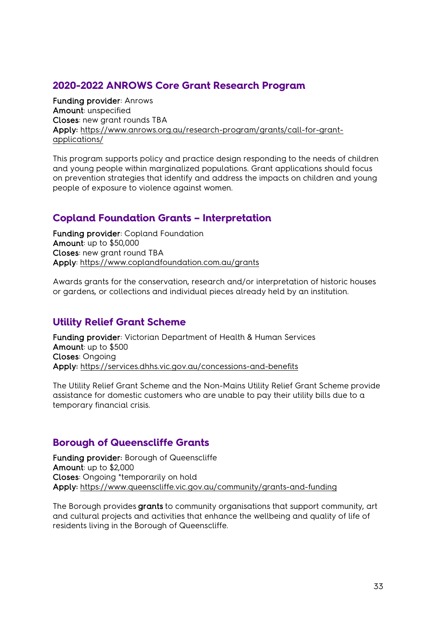# <span id="page-32-0"></span>**2020-2022 ANROWS Core Grant Research Program**

Funding provider: Anrows Amount: unspecified Closes: new grant rounds TBA Apply: [https://www.anrows.org.au/research-program/grants/call-for-grant](https://www.anrows.org.au/research-program/grants/call-for-grant-applications/)[applications/](https://www.anrows.org.au/research-program/grants/call-for-grant-applications/)

This program supports policy and practice design responding to the needs of children and young people within marginalized populations. Grant applications should focus on prevention strategies that identify and address the impacts on children and young people of exposure to violence against women.

# <span id="page-32-1"></span>**Copland Foundation Grants – Interpretation**

Funding provider: Copland Foundation Amount: up to \$50,000 Closes: new grant round TBA Apply:<https://www.coplandfoundation.com.au/grants>

Awards grants for the conservation, research and/or interpretation of historic houses or gardens, or collections and individual pieces already held by an institution.

#### <span id="page-32-2"></span>**Utility Relief Grant Scheme**

Funding provider: Victorian Department of Health & Human Services Amount: up to \$500 Closes: Ongoing Apply:<https://services.dhhs.vic.gov.au/concessions-and-benefits>

The Utility Relief Grant Scheme and the Non-Mains Utility Relief Grant Scheme provide assistance for domestic customers who are unable to pay their utility bills due to a temporary financial crisis.

# <span id="page-32-3"></span>**Borough of Queenscliffe Grants**

Funding provider: Borough of Queenscliffe Amount: up to \$2,000 Closes: Ongoing \*temporarily on hold Apply: <https://www.queenscliffe.vic.gov.au/community/grants-and-funding>

The Borough provides grants to community organisations that support community, art and cultural projects and activities that enhance the wellbeing and quality of life of residents living in the Borough of Queenscliffe.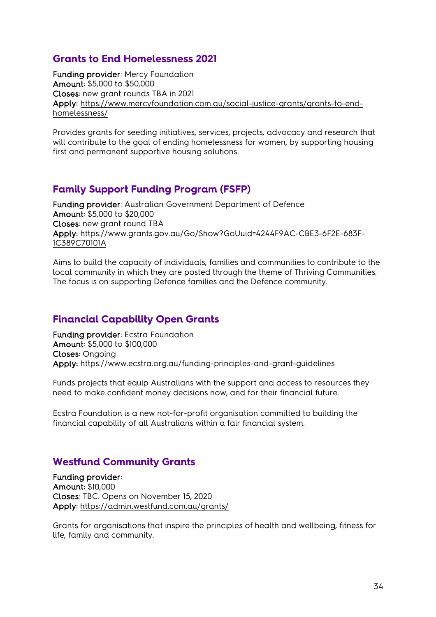# <span id="page-33-0"></span>**Grants to End Homelessness 2021**

Funding provider: Mercy Foundation Amount: \$5,000 to \$50,000 Closes: new grant rounds TBA in 2021 Apply: [https://www.mercyfoundation.com.au/social-justice-grants/grants-to-end](https://www.mercyfoundation.com.au/social-justice-grants/grants-to-end-homelessness/)[homelessness/](https://www.mercyfoundation.com.au/social-justice-grants/grants-to-end-homelessness/) 

Provides grants for seeding initiatives, services, projects, advocacy and research that will contribute to the goal of ending homelessness for women, by supporting housing first and permanent supportive housing solutions.

# <span id="page-33-1"></span>**Family Support Funding Program (FSFP)**

Funding provider: Australian Government Department of Defence Amount: \$5,000 to \$20,000 Closes: new grant round TBA Apply: [https://www.grants.gov.au/Go/Show?GoUuid=4244F9AC-CBE3-6F2E-683F-](https://www.grants.gov.au/Go/Show?GoUuid=4244F9AC-CBE3-6F2E-683F-1C389C70101A)[1C389C70101A](https://www.grants.gov.au/Go/Show?GoUuid=4244F9AC-CBE3-6F2E-683F-1C389C70101A) 

Aims to build the capacity of individuals, families and communities to contribute to the local community in which they are posted through the theme of Thriving Communities. The focus is on supporting Defence families and the Defence community.

#### <span id="page-33-2"></span>**Financial Capability Open Grants**

Funding provider: Ecstra Foundation Amount: \$5,000 to \$100,000 Closes: Ongoing Apply:<https://www.ecstra.org.au/funding-principles-and-grant-guidelines>

Funds projects that equip Australians with the support and access to resources they need to make confident money decisions now, and for their financial future.

Ecstra Foundation is a new not-for-profit organisation committed to building the financial capability of all Australians within a fair financial system.

#### <span id="page-33-3"></span>**Westfund Community Grants**

Funding provider: Amount: \$10,000 Closes: TBC. Opens on November 15, 2020 Apply: <https://admin.westfund.com.au/grants/>

Grants for organisations that inspire the principles of health and wellbeing, fitness for life, family and community.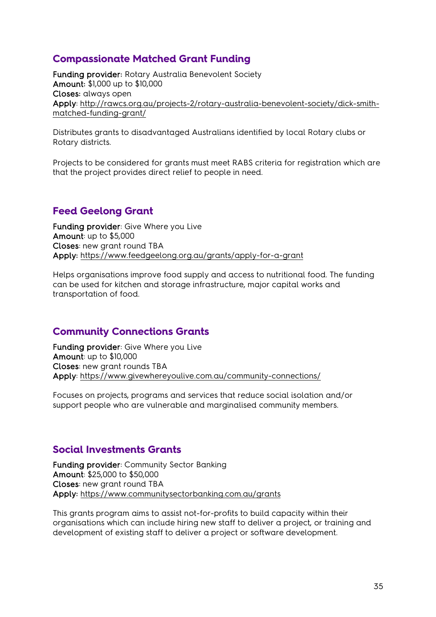# <span id="page-34-0"></span>**Compassionate Matched Grant Funding**

Funding provider: Rotary Australia Benevolent Society Amount: \$1,000 up to \$10,000 Closes: always open Apply: [http://rawcs.org.au/projects-2/rotary-australia-benevolent-society/dick-smith](http://rawcs.org.au/projects-2/rotary-australia-benevolent-society/dick-smith-matched-funding-grant/)[matched-funding-grant/](http://rawcs.org.au/projects-2/rotary-australia-benevolent-society/dick-smith-matched-funding-grant/)

Distributes grants to disadvantaged Australians identified by local Rotary clubs or Rotary districts.

Projects to be considered for grants must meet RABS criteria for registration which are that the project provides direct relief to people in need.

# <span id="page-34-1"></span>**Feed Geelong Grant**

Funding provider: Give Where you Live Amount: up to \$5,000 Closes: new grant round TBA Apply:<https://www.feedgeelong.org.au/grants/apply-for-a-grant>

Helps organisations improve food supply and access to nutritional food. The funding can be used for kitchen and storage infrastructure, major capital works and transportation of food.

# <span id="page-34-2"></span>**Community Connections Grants**

Funding provider: Give Where you Live Amount: up to \$10,000 Closes: new grant rounds TBA Apply:<https://www.givewhereyoulive.com.au/community-connections/>

Focuses on projects, programs and services that reduce social isolation and/or support people who are vulnerable and marginalised community members.

#### <span id="page-34-3"></span>**Social Investments Grants**

Funding provider: Community Sector Banking Amount: \$25,000 to \$50,000 Closes: new grant round TBA Apply:<https://www.communitysectorbanking.com.au/grants>

This grants program aims to assist not-for-profits to build capacity within their organisations which can include hiring new staff to deliver a project, or training and development of existing staff to deliver a project or software development.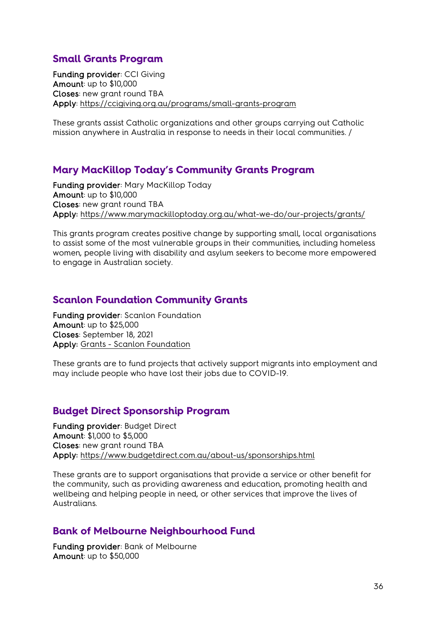### <span id="page-35-0"></span>**Small Grants Program**

Funding provider: CCI Giving Amount: up to \$10,000 Closes: new grant round TBA Apply:<https://ccigiving.org.au/programs/small-grants-program>

These grants assist Catholic organizations and other groups carrying out Catholic mission anywhere in Australia in response to needs in their local communities. /

#### <span id="page-35-1"></span>**Mary MacKillop Today's Community Grants Program**

Funding provider: Mary MacKillop Today Amount: up to \$10,000 Closes: new grant round TBA Apply:<https://www.marymackilloptoday.org.au/what-we-do/our-projects/grants/>

This grants program creates positive change by supporting small, local organisations to assist some of the most vulnerable groups in their communities, including homeless women, people living with disability and asylum seekers to become more empowered to engage in Australian society.

#### <span id="page-35-2"></span>**Scanlon Foundation Community Grants**

Funding provider: Scanlon Foundation Amount: up to \$25,000 Closes: September 18, 2021 Apply: Grants - [Scanlon Foundation](https://scanlonfoundation.org.au/grants/)

These grants are to fund projects that actively support migrants into employment and may include people who have lost their jobs due to COVID-19.

#### <span id="page-35-3"></span>**Budget Direct Sponsorship Program**

Funding provider: Budget Direct Amount: \$1,000 to \$5,000 Closes: new grant round TBA Apply:<https://www.budgetdirect.com.au/about-us/sponsorships.html>

These grants are to support organisations that provide a service or other benefit for the community, such as providing awareness and education, promoting health and wellbeing and helping people in need, or other services that improve the lives of **Australians** 

#### <span id="page-35-4"></span>**Bank of Melbourne Neighbourhood Fund**

Funding provider: Bank of Melbourne Amount: up to \$50,000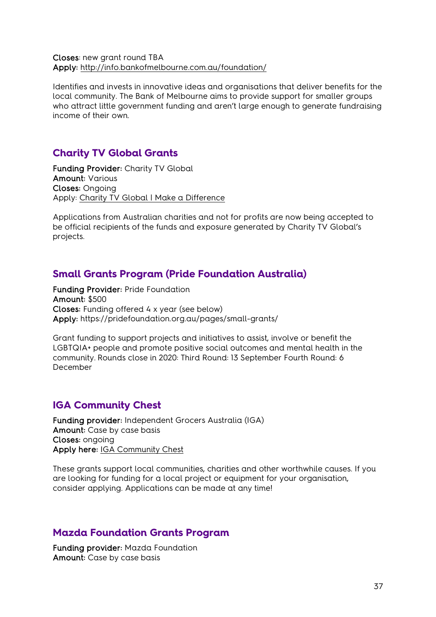#### Closes: new grant round TBA Apply:<http://info.bankofmelbourne.com.au/foundation/>

Identifies and invests in innovative ideas and organisations that deliver benefits for the local community. The Bank of Melbourne aims to provide support for smaller groups who attract little government funding and aren't large enough to generate fundraising income of their own.

### <span id="page-36-0"></span>**Charity TV Global Grants**

Funding Provider: Charity TV Global Amount: Various Closes: Ongoing Apply: [Charity TV Global | Make a Difference](https://www.charitytvglobal.com/)

Applications from Australian charities and not for profits are now being accepted to be official recipients of the funds and exposure generated by Charity TV Global's projects.

#### <span id="page-36-1"></span>**Small Grants Program (Pride Foundation Australia)**

Funding Provider: Pride Foundation Amount: \$500 Closes: Funding offered 4 x year (see below) Apply: https://pridefoundation.org.au/pages/small-grants/

Grant funding to support projects and initiatives to assist, involve or benefit the LGBTQIA+ people and promote positive social outcomes and mental health in the community. Rounds close in 2020: Third Round: 13 September Fourth Round: 6 December

#### <span id="page-36-2"></span>**IGA Community Chest**

Funding provider: Independent Grocers Australia (IGA) Amount: Case by case basis Closes: ongoing Apply here: [IGA Community Chest](https://www.iga.com.au/community-chest/)

These grants support local communities, charities and other worthwhile causes. If you are looking for funding for a local project or equipment for your organisation, consider applying. Applications can be made at any time!

#### <span id="page-36-3"></span>**Mazda Foundation Grants Program**

Funding provider: Mazda Foundation Amount: Case by case basis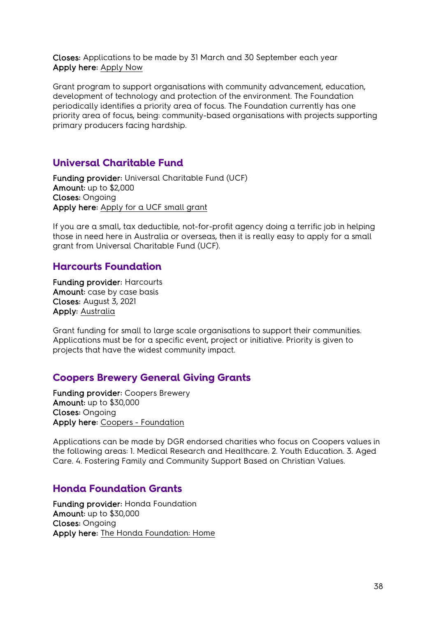Closes: Applications to be made by 31 March and 30 September each year Apply here: [Apply Now](http://mazdafoundation.org.au/obtaining-funding/)

Grant program to support organisations with community advancement, education, development of technology and protection of the environment. The Foundation periodically identifies a priority area of focus. The Foundation currently has one priority area of focus, being: community-based organisations with projects supporting primary producers facing hardship.

#### <span id="page-37-0"></span>**Universal Charitable Fund**

Funding provider: Universal Charitable Fund (UCF) Amount: up to \$2,000 Closes: Ongoing Apply here: [Apply for a UCF small grant](http://ucf.org.au/apply/)

If you are a small, tax deductible, not-for-profit agency doing a terrific job in helping those in need here in Australia or overseas, then it is really easy to apply for a small grant from Universal Charitable Fund (UCF).

#### <span id="page-37-1"></span>**Harcourts Foundation**

Funding provider: Harcourts Amount: case by case basis Closes: August 3, 2021 Apply: [Australia](https://harcourtsfoundation.org/australia/)

Grant funding for small to large scale organisations to support their communities. Applications must be for a specific event, project or initiative. Priority is given to projects that have the widest community impact.

#### <span id="page-37-2"></span>**Coopers Brewery General Giving Grants**

Funding provider: Coopers Brewery Amount: up to \$30,000 Closes: Ongoing Apply here: Coopers - [Foundation](https://coopers.com.au/foundation)

Applications can be made by DGR endorsed charities who focus on Coopers values in the following areas: 1. Medical Research and Healthcare. 2. Youth Education. 3. Aged Care. 4. Fostering Family and Community Support Based on Christian Values.

#### <span id="page-37-3"></span>**Honda Foundation Grants**

Funding provider: Honda Foundation Amount: up to \$30,000 Closes: Ongoing Apply here: [The Honda Foundation: Home](https://www.thehondafoundation.com.au/)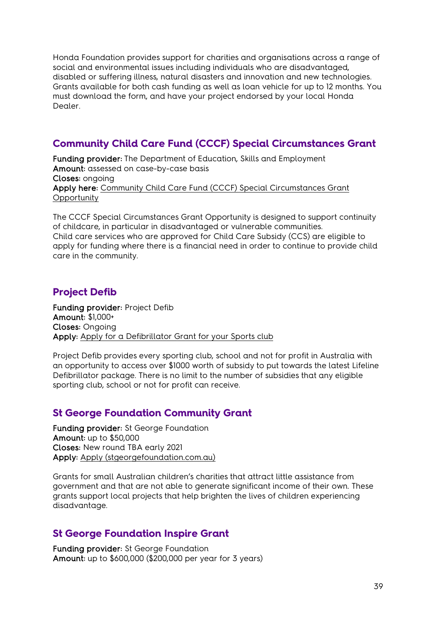Honda Foundation provides support for charities and organisations across a range of social and environmental issues including individuals who are disadvantaged, disabled or suffering illness, natural disasters and innovation and new technologies. Grants available for both cash funding as well as loan vehicle for up to 12 months. You must download the form, and have your project endorsed by your local Honda Dealer.

# <span id="page-38-0"></span>**Community Child Care Fund (CCCF) Special Circumstances Grant**

Funding provider: The Department of Education, Skills and Employment Amount: assessed on case-by-case basis Closes: ongoing Apply here: [Community Child Care Fund \(CCCF\) Special Circumstances Grant](https://www.education.gov.au/cccfspecialcircs)  **[Opportunity](https://www.education.gov.au/cccfspecialcircs)** 

The CCCF Special Circumstances Grant Opportunity is designed to support continuity of childcare, in particular in disadvantaged or vulnerable communities. Child care services who are approved for Child Care Subsidy (CCS) are eligible to apply for funding where there is a financial need in order to continue to provide child care in the community.

# <span id="page-38-1"></span>**Project Defib**

Funding provider: Project Defib Amount: \$1,000+ Closes: Ongoing Apply: [Apply for a Defibrillator Grant for your Sports club](https://projectdefib.com.au/apply-for-grants.html)

Project Defib provides every sporting club, school and not for profit in Australia with an opportunity to access over \$1000 worth of subsidy to put towards the latest Lifeline Defibrillator package. There is no limit to the number of subsidies that any eligible sporting club, school or not for profit can receive.

# <span id="page-38-2"></span>**St George Foundation Community Grant**

Funding provider: St George Foundation Amount: up to \$50,000 Closes: New round TBA early 2021 Apply: [Apply \(stgeorgefoundation.com.au\)](https://www.stgeorgefoundation.com.au/apply)

Grants for small Australian children's charities that attract little assistance from government and that are not able to generate significant income of their own. These grants support local projects that help brighten the lives of children experiencing disadvantage.

# <span id="page-38-3"></span>**St George Foundation Inspire Grant**

Funding provider: St George Foundation Amount: up to \$600,000 (\$200,000 per year for 3 years)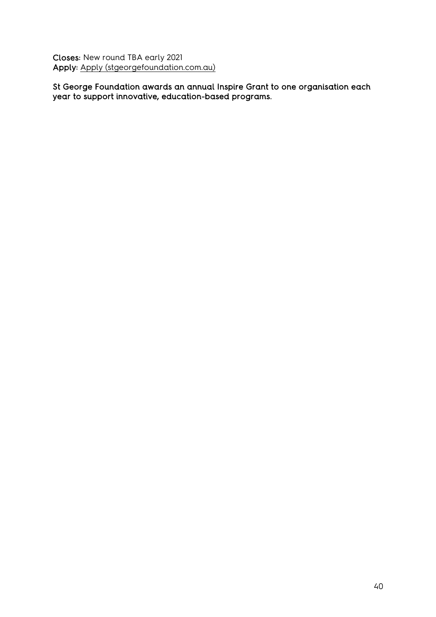Closes: New round TBA early 2021 Apply: [Apply \(stgeorgefoundation.com.au\)](https://www.stgeorgefoundation.com.au/apply)

St George Foundation awards an annual Inspire Grant to one organisation each year to support innovative, education-based programs.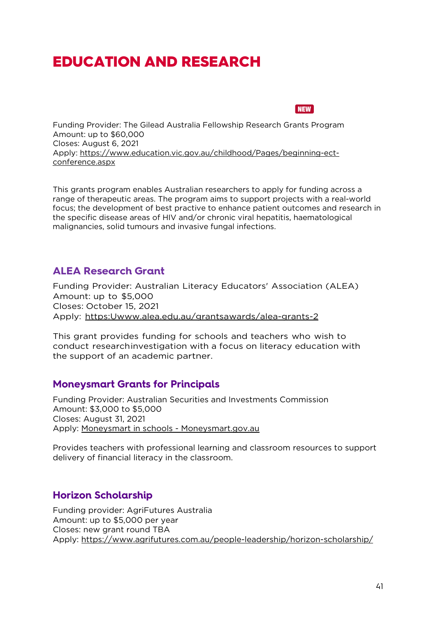# <span id="page-40-0"></span>EDUCATION AND RESEARCH



<span id="page-40-1"></span>Funding Provider: The Gilead Australia Fellowship Research Grants Program Amount: up to \$60,000 Closes: August 6, 2021 Apply: [https://www.education.vic.gov.au/childhood/Pages/beginning-ect](https://www.education.vic.gov.au/childhood/Pages/beginning-ect-conference.aspx)[conference.aspx](https://www.education.vic.gov.au/childhood/Pages/beginning-ect-conference.aspx)

This grants program enables Australian researchers to apply for funding across a range of therapeutic areas. The program aims to support projects with a real-world focus; the development of best practive to enhance patient outcomes and research in the specific disease areas of HIV and/or chronic viral hepatitis, haematological malignancies, solid tumours and invasive fungal infections.

# <span id="page-40-2"></span>**ALEA Research Grant**

Funding Provider: Australian Literacy Educators' Association (ALEA) Amount: up to \$5,000 Closes: October 15, 2021 Apply: [https:Uwww.alea.edu.au/grantsawards/alea-grants-2](https://www.alea.edu.au/grantsawards/alea-grants-2)

This grant provides funding for schools and teachers who wish to conduct researchinvestigation with a focus on literacy education with the support of an academic partner.

#### <span id="page-40-3"></span>**Moneysmart Grants for Principals**

Funding Provider: Australian Securities and Investments Commission Amount: \$3,000 to \$5,000 Closes: August 31, 2021 Apply: [Moneysmart in schools - Moneysmart.gov.au](https://moneysmart.gov.au/moneysmart-in-schools)

Provides teachers with professional learning and classroom resources to support delivery of financial literacy in the classroom.

#### <span id="page-40-4"></span>**Horizon Scholarship**

Funding provider: AgriFutures Australia Amount: up to \$5,000 per year Closes: new grant round TBA Apply:<https://www.agrifutures.com.au/people-leadership/horizon-scholarship/>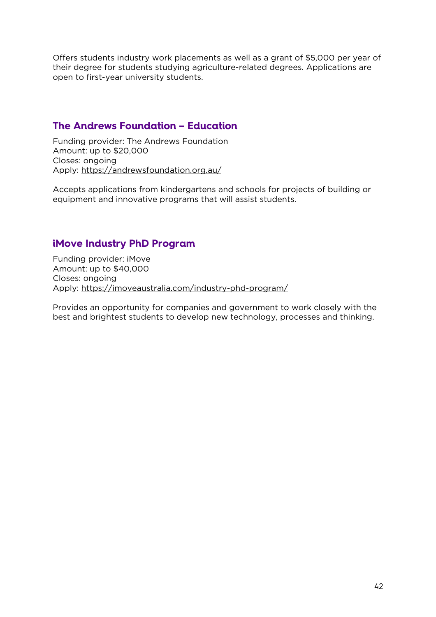Offers students industry work placements as well as a grant of \$5,000 per year of their degree for students studying agriculture-related degrees. Applications are open to first-year university students.

# <span id="page-41-0"></span>**The Andrews Foundation – Education**

Funding provider: The Andrews Foundation Amount: up to \$20,000 Closes: ongoing Apply:<https://andrewsfoundation.org.au/>

Accepts applications from kindergartens and schools for projects of building or equipment and innovative programs that will assist students.

# <span id="page-41-1"></span>**iMove Industry PhD Program**

Funding provider: iMove Amount: up to \$40,000 Closes: ongoing Apply:<https://imoveaustralia.com/industry-phd-program/>

Provides an opportunity for companies and government to work closely with the best and brightest students to develop new technology, processes and thinking.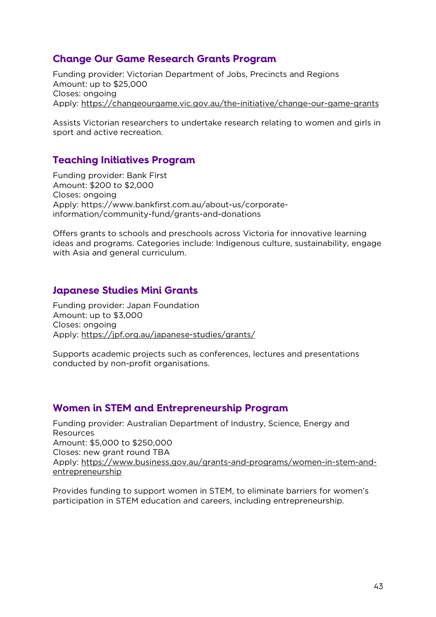## <span id="page-42-0"></span>**Change Our Game Research Grants Program**

Funding provider: Victorian Department of Jobs, Precincts and Regions Amount: up to \$25,000 Closes: ongoing Apply:<https://changeourgame.vic.gov.au/the-initiative/change-our-game-grants>

Assists Victorian researchers to undertake research relating to women and girls in sport and active recreation.

# <span id="page-42-1"></span>**Teaching Initiatives Program**

Funding provider: Bank First Amount: \$200 to \$2,000 Closes: ongoing Apply: https://www.bankfirst.com.au/about-us/corporateinformation/community-fund/grants-and-donations

Offers grants to schools and preschools across Victoria for innovative learning ideas and programs. Categories include: Indigenous culture, sustainability, engage with Asia and general curriculum.

#### <span id="page-42-2"></span>**Japanese Studies Mini Grants**

Funding provider: Japan Foundation Amount: up to \$3,000 Closes: ongoing Apply:<https://jpf.org.au/japanese-studies/grants/>

Supports academic projects such as conferences, lectures and presentations conducted by non-profit organisations.

#### <span id="page-42-3"></span>**Women in STEM and Entrepreneurship Program**

Funding provider: Australian Department of Industry, Science, Energy and Resources Amount: \$5,000 to \$250,000 Closes: new grant round TBA Apply: [https://www.business.gov.au/grants-and-programs/women-in-stem-and](https://www.business.gov.au/grants-and-programs/women-in-stem-and-entrepreneurship)[entrepreneurship](https://www.business.gov.au/grants-and-programs/women-in-stem-and-entrepreneurship)

Provides funding to support women in STEM, to eliminate barriers for women's participation in STEM education and careers, including entrepreneurship.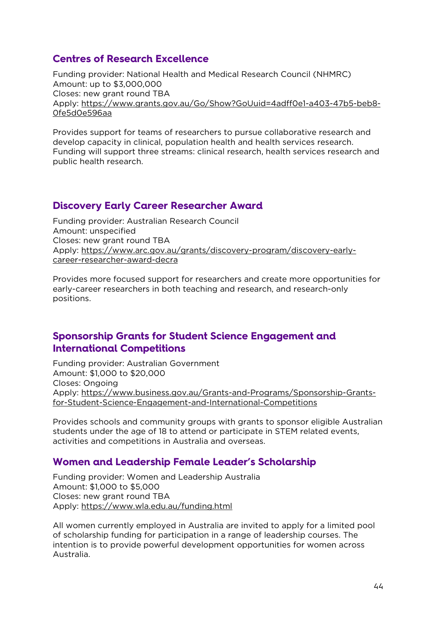# <span id="page-43-0"></span>**Centres of Research Excellence**

Funding provider: National Health and Medical Research Council (NHMRC) Amount: up to \$3,000,000 Closes: new grant round TBA Apply: [https://www.grants.gov.au/Go/Show?GoUuid=4adff0e1-a403-47b5-beb8-](https://www.grants.gov.au/Go/Show?GoUuid=4adff0e1-a403-47b5-beb8-0fe5d0e596aa) [0fe5d0e596aa](https://www.grants.gov.au/Go/Show?GoUuid=4adff0e1-a403-47b5-beb8-0fe5d0e596aa)

Provides support for teams of researchers to pursue collaborative research and develop capacity in clinical, population health and health services research. Funding will support three streams: clinical research, health services research and public health research.

#### <span id="page-43-1"></span>**Discovery Early Career Researcher Award**

Funding provider: Australian Research Council Amount: unspecified Closes: new grant round TBA Apply: [https://www.arc.gov.au/grants/discovery-program/discovery-early](https://www.arc.gov.au/grants/discovery-program/discovery-early-career-researcher-award-decra)[career-researcher-award-decra](https://www.arc.gov.au/grants/discovery-program/discovery-early-career-researcher-award-decra)

Provides more focused support for researchers and create more opportunities for early-career researchers in both teaching and research, and research-only positions.

#### <span id="page-43-2"></span>**Sponsorship Grants for Student Science Engagement and International Competitions**

Funding provider: Australian Government Amount: \$1,000 to \$20,000 Closes: Ongoing Apply: [https://www.business.gov.au/Grants-and-Programs/Sponsorship-Grants](https://www.business.gov.au/Grants-and-Programs/Sponsorship-Grants-for-Student-Science-Engagement-and-International-Competitions)[for-Student-Science-Engagement-and-International-Competitions](https://www.business.gov.au/Grants-and-Programs/Sponsorship-Grants-for-Student-Science-Engagement-and-International-Competitions)

Provides schools and community groups with grants to sponsor eligible Australian students under the age of 18 to attend or participate in STEM related events, activities and competitions in Australia and overseas.

#### <span id="page-43-3"></span>**Women and Leadership Female Leader's Scholarship**

Funding provider: Women and Leadership Australia Amount: \$1,000 to \$5,000 Closes: new grant round TBA Apply:<https://www.wla.edu.au/funding.html>

All women currently employed in Australia are invited to apply for a limited pool of scholarship funding for participation in a range of leadership courses. The intention is to provide powerful development opportunities for women across Australia.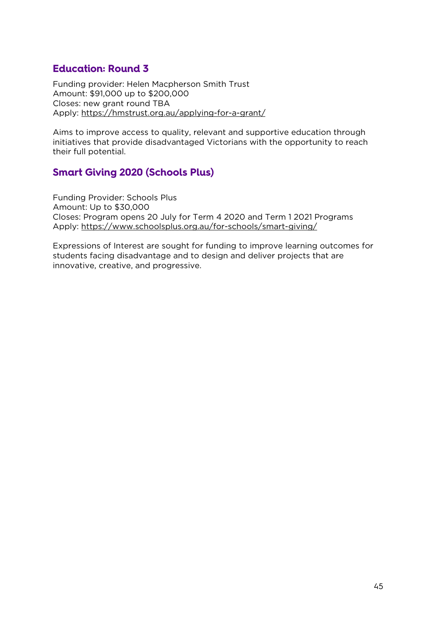# <span id="page-44-0"></span>**Education: Round 3**

Funding provider: Helen Macpherson Smith Trust Amount: \$91,000 up to \$200,000 Closes: new grant round TBA Apply:<https://hmstrust.org.au/applying-for-a-grant/>

Aims to improve access to quality, relevant and supportive education through initiatives that provide disadvantaged Victorians with the opportunity to reach their full potential.

# <span id="page-44-1"></span>**Smart Giving 2020 (Schools Plus)**

Funding Provider: Schools Plus Amount: Up to \$30,000 Closes: Program opens 20 July for Term 4 2020 and Term 1 2021 Programs Apply:<https://www.schoolsplus.org.au/for-schools/smart-giving/>

Expressions of Interest are sought for funding to improve learning outcomes for students facing disadvantage and to design and deliver projects that are innovative, creative, and progressive.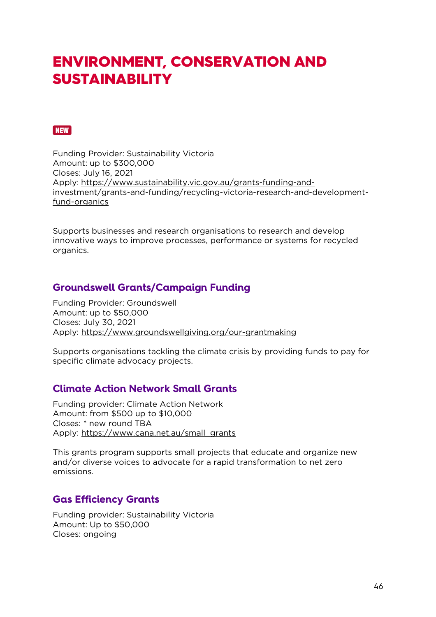# <span id="page-45-0"></span>ENVIRONMENT, CONSERVATION AND **SUSTAINABILITY**

#### <span id="page-45-1"></span>**NEW**

Funding Provider: Sustainability Victoria Amount: up to \$300,000 Closes: July 16, 2021 Apply: [https://www.sustainability.vic.gov.au/grants-funding-and](https://www.sustainability.vic.gov.au/grants-funding-and-investment/grants-and-funding/recycling-victoria-research-and-development-fund-organics)[investment/grants-and-funding/recycling-victoria-research-and-development](https://www.sustainability.vic.gov.au/grants-funding-and-investment/grants-and-funding/recycling-victoria-research-and-development-fund-organics)[fund-organics](https://www.sustainability.vic.gov.au/grants-funding-and-investment/grants-and-funding/recycling-victoria-research-and-development-fund-organics)

Supports businesses and research organisations to research and develop innovative ways to improve processes, performance or systems for recycled organics.

#### <span id="page-45-2"></span>**Groundswell Grants/Campaign Funding**

Funding Provider: Groundswell Amount: up to \$50,000 Closes: July 30, 2021 Apply:<https://www.groundswellgiving.org/our-grantmaking>

Supports organisations tackling the climate crisis by providing funds to pay for specific climate advocacy projects.

#### <span id="page-45-3"></span>**Climate Action Network Small Grants**

Funding provider: Climate Action Network Amount: from \$500 up to \$10,000 Closes: \* new round TBA Apply: [https://www.cana.net.au/small\\_grants](https://www.cana.net.au/small_grants)

This grants program supports small projects that educate and organize new and/or diverse voices to advocate for a rapid transformation to net zero emissions.

#### <span id="page-45-4"></span>**Gas Efficiency Grants**

Funding provider: Sustainability Victoria Amount: Up to \$50,000 Closes: ongoing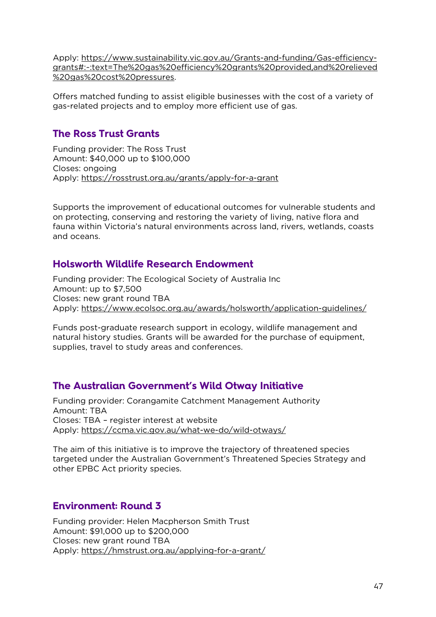Apply: [https://www.sustainability.vic.gov.au/Grants-and-funding/Gas-efficiency](https://www.sustainability.vic.gov.au/Grants-and-funding/Gas-efficiency-grants#:%7E:text=The%20gas%20efficiency%20grants%20provided,and%20relieved%20gas%20cost%20pressures)[grants#:~:text=The%20gas%20efficiency%20grants%20provided,and%20relieved](https://www.sustainability.vic.gov.au/Grants-and-funding/Gas-efficiency-grants#:%7E:text=The%20gas%20efficiency%20grants%20provided,and%20relieved%20gas%20cost%20pressures) [%20gas%20cost%20pressures.](https://www.sustainability.vic.gov.au/Grants-and-funding/Gas-efficiency-grants#:%7E:text=The%20gas%20efficiency%20grants%20provided,and%20relieved%20gas%20cost%20pressures)

Offers matched funding to assist eligible businesses with the cost of a variety of gas-related projects and to employ more efficient use of gas.

### <span id="page-46-0"></span>**The Ross Trust Grants**

Funding provider: The Ross Trust Amount: \$40,000 up to \$100,000 Closes: ongoing Apply:<https://rosstrust.org.au/grants/apply-for-a-grant>

Supports the improvement of educational outcomes for vulnerable students and on protecting, conserving and restoring the variety of living, native flora and fauna within Victoria's natural environments across land, rivers, wetlands, coasts and oceans.

# <span id="page-46-1"></span>**Holsworth Wildlife Research Endowment**

Funding provider: The Ecological Society of Australia Inc Amount: up to \$7,500 Closes: new grant round TBA Apply:<https://www.ecolsoc.org.au/awards/holsworth/application-guidelines/>

Funds post-graduate research support in ecology, wildlife management and natural history studies. Grants will be awarded for the purchase of equipment, supplies, travel to study areas and conferences.

#### <span id="page-46-2"></span>**The Australian Government's Wild Otway Initiative**

Funding provider: Corangamite Catchment Management Authority Amount: TBA Closes: TBA – register interest at website Apply:<https://ccma.vic.gov.au/what-we-do/wild-otways/>

The aim of this initiative is to improve the trajectory of threatened species targeted under the Australian Government's Threatened Species Strategy and other EPBC Act priority species.

# <span id="page-46-3"></span>**Environment: Round 3**

Funding provider: Helen Macpherson Smith Trust Amount: \$91,000 up to \$200,000 Closes: new grant round TBA Apply:<https://hmstrust.org.au/applying-for-a-grant/>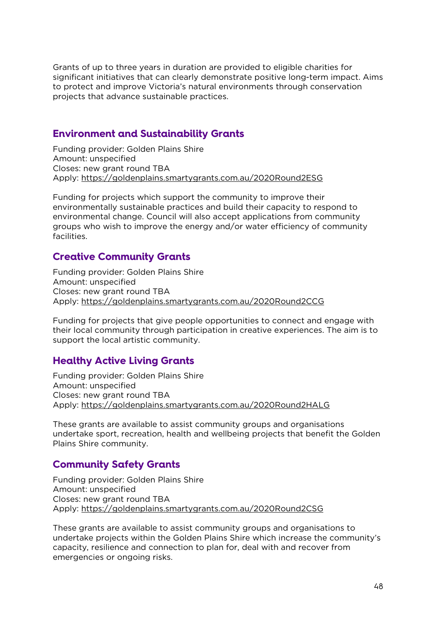Grants of up to three years in duration are provided to eligible charities for significant initiatives that can clearly demonstrate positive long-term impact. Aims to protect and improve Victoria's natural environments through conservation projects that advance sustainable practices.

### <span id="page-47-0"></span>**Environment and Sustainability Grants**

Funding provider: Golden Plains Shire Amount: unspecified Closes: new grant round TBA Apply:<https://goldenplains.smartygrants.com.au/2020Round2ESG>

Funding for projects which support the community to improve their environmentally sustainable practices and build their capacity to respond to environmental change. Council will also accept applications from community groups who wish to improve the energy and/or water efficiency of community facilities.

# <span id="page-47-1"></span>**Creative Community Grants**

Funding provider: Golden Plains Shire Amount: unspecified Closes: new grant round TBA Apply:<https://goldenplains.smartygrants.com.au/2020Round2CCG>

Funding for projects that give people opportunities to connect and engage with their local community through participation in creative experiences. The aim is to support the local artistic community.

# <span id="page-47-2"></span>**Healthy Active Living Grants**

Funding provider: Golden Plains Shire Amount: unspecified Closes: new grant round TBA Apply:<https://goldenplains.smartygrants.com.au/2020Round2HALG>

These grants are available to assist community groups and organisations undertake sport, recreation, health and wellbeing projects that benefit the Golden Plains Shire community.

# <span id="page-47-3"></span>**Community Safety Grants**

Funding provider: Golden Plains Shire Amount: unspecified Closes: new grant round TBA Apply:<https://goldenplains.smartygrants.com.au/2020Round2CSG>

These grants are available to assist community groups and organisations to undertake projects within the Golden Plains Shire which increase the community's capacity, resilience and connection to plan for, deal with and recover from emergencies or ongoing risks.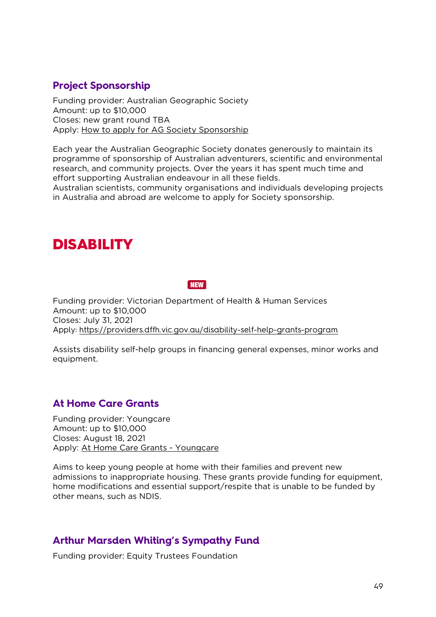# <span id="page-48-0"></span>**Project Sponsorship**

Funding provider: Australian Geographic Society Amount: up to \$10,000 Closes: new grant round TBA Apply: [How to apply for AG Society Sponsorship](https://www.australiangeographic.com.au/society/sponsorship/2019/12/apply-for-sponsorship/)

Each year the Australian Geographic Society donates generously to maintain its programme of sponsorship of Australian adventurers, scientific and environmental research, and community projects. Over the years it has spent much time and effort supporting Australian endeavour in all these fields.

Australian scientists, community organisations and individuals developing projects in Australia and abroad are welcome to apply for Society sponsorship.

# <span id="page-48-1"></span>DISABILITY

**NEW** 

<span id="page-48-2"></span>Funding provider: Victorian Department of Health & Human Services Amount: up to \$10,000 Closes: July 31, 2021 Apply:<https://providers.dffh.vic.gov.au/disability-self-help-grants-program>

Assists disability self-help groups in financing general expenses, minor works and equipment.

# <span id="page-48-3"></span>**At Home Care Grants**

Funding provider: Youngcare Amount: up to \$10,000 Closes: August 18, 2021 Apply: [At Home Care Grants - Youngcare](https://www.youngcare.com.au/what-we-do/grants/home-care-grants/#:%7E:text=Youngcare%E2%80%99s%20At%20Home%20Care%20Grants%20program%20is%20critical,unable%20to%20be%20funded%20through%20other%20means%20(eg.)

Aims to keep young people at home with their families and prevent new admissions to inappropriate housing. These grants provide funding for equipment, home modifications and essential support/respite that is unable to be funded by other means, such as NDIS.

#### <span id="page-48-4"></span>**Arthur Marsden Whiting's Sympathy Fund**

Funding provider: Equity Trustees Foundation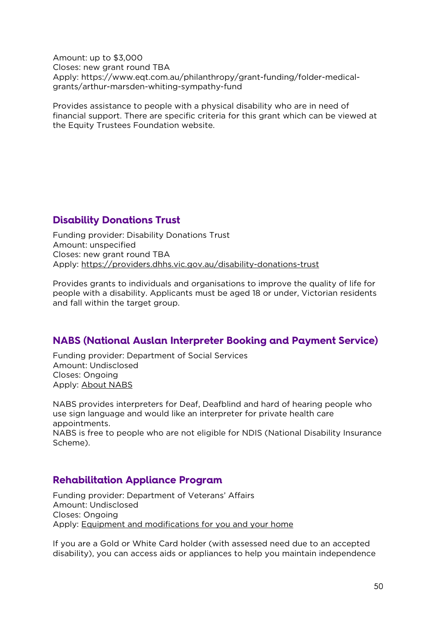Amount: up to \$3,000 Closes: new grant round TBA Apply: https://www.eqt.com.au/philanthropy/grant-funding/folder-medicalgrants/arthur-marsden-whiting-sympathy-fund

Provides assistance to people with a physical disability who are in need of financial support. There are specific criteria for this grant which can be viewed at the Equity Trustees Foundation website.

# <span id="page-49-0"></span>**Disability Donations Trust**

Funding provider: Disability Donations Trust Amount: unspecified Closes: new grant round TBA Apply:<https://providers.dhhs.vic.gov.au/disability-donations-trust>

Provides grants to individuals and organisations to improve the quality of life for people with a disability. Applicants must be aged 18 or under, Victorian residents and fall within the target group.

# <span id="page-49-1"></span>**NABS (National Auslan Interpreter Booking and Payment Service)**

Funding provider: Department of Social Services Amount: Undisclosed Closes: Ongoing Apply: [About NABS](https://www.nabs.org.au/about-nabs.html)

NABS provides interpreters for Deaf, Deafblind and hard of hearing people who use sign language and would like an interpreter for private health care appointments.

NABS is free to people who are not eligible for NDIS (National Disability Insurance Scheme).

#### <span id="page-49-2"></span>**Rehabilitation Appliance Program**

Funding provider: Department of Veterans' Affairs Amount: Undisclosed Closes: Ongoing Apply: [Equipment and modifications for you and your home](https://www.dva.gov.au/health-and-treatment/care-home-or-aged-care/equipment-and-modifications-you-and-your-home)

If you are a Gold or White Card holder (with assessed need due to an accepted disability), you can access aids or appliances to help you maintain independence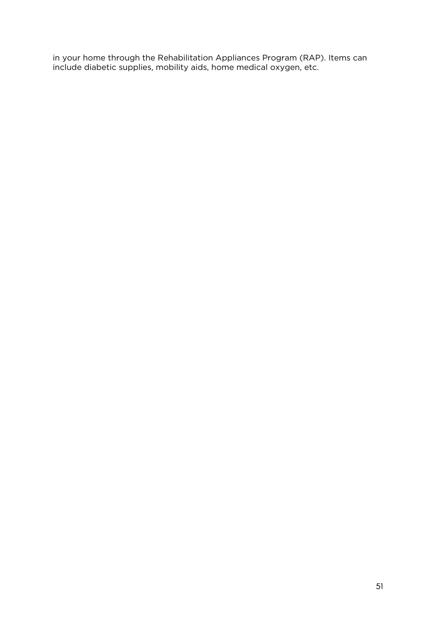in your home through the Rehabilitation Appliances Program (RAP). Items can include diabetic supplies, mobility aids, home medical oxygen, etc.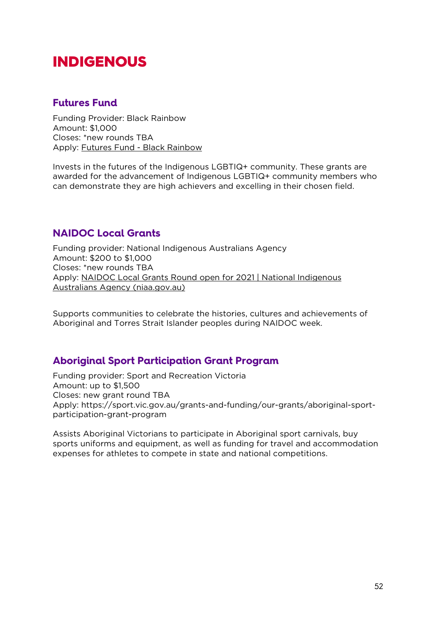# <span id="page-51-0"></span>INDIGENOUS

#### <span id="page-51-1"></span>**Futures Fund**

Funding Provider: Black Rainbow Amount: \$1,000 Closes: \*new rounds TBA Apply: [Futures Fund -](https://blackrainbow.org.au/futuresfund/) Black Rainbow

Invests in the futures of the Indigenous LGBTIQ+ community. These grants are awarded for the advancement of Indigenous LGBTIQ+ community members who can demonstrate they are high achievers and excelling in their chosen field.

# <span id="page-51-2"></span>**NAIDOC Local Grants**

Funding provider: National Indigenous Australians Agency Amount: \$200 to \$1,000 Closes: \*new rounds TBA Apply: [NAIDOC Local Grants Round open for 2021 | National Indigenous](https://www.niaa.gov.au/news-centre/indigenous-affairs/naidoc-local-grants-round-open-2021)  [Australians Agency \(niaa.gov.au\)](https://www.niaa.gov.au/news-centre/indigenous-affairs/naidoc-local-grants-round-open-2021)

Supports communities to celebrate the histories, cultures and achievements of Aboriginal and Torres Strait Islander peoples during NAIDOC week.

#### <span id="page-51-3"></span>**Aboriginal Sport Participation Grant Program**

Funding provider: Sport and Recreation Victoria Amount: up to \$1,500 Closes: new grant round TBA Apply: https://sport.vic.gov.au/grants-and-funding/our-grants/aboriginal-sportparticipation-grant-program

Assists Aboriginal Victorians to participate in Aboriginal sport carnivals, buy sports uniforms and equipment, as well as funding for travel and accommodation expenses for athletes to compete in state and national competitions.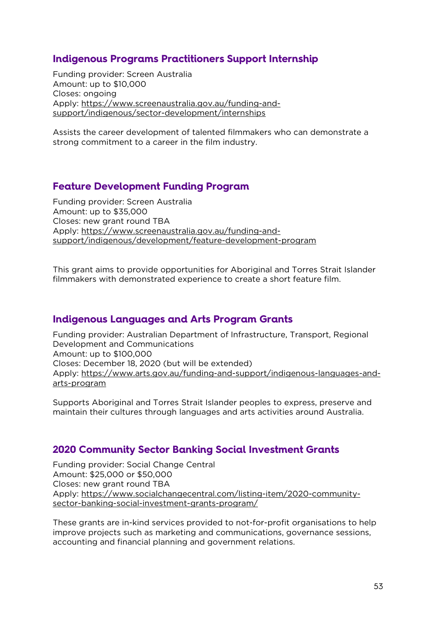# <span id="page-52-0"></span>**Indigenous Programs Practitioners Support Internship**

Funding provider: Screen Australia Amount: up to \$10,000 Closes: ongoing Apply: [https://www.screenaustralia.gov.au/funding-and](https://www.screenaustralia.gov.au/funding-and-support/indigenous/sector-development/internships)[support/indigenous/sector-development/internships](https://www.screenaustralia.gov.au/funding-and-support/indigenous/sector-development/internships)

Assists the career development of talented filmmakers who can demonstrate a strong commitment to a career in the film industry.

# <span id="page-52-1"></span>**Feature Development Funding Program**

Funding provider: Screen Australia Amount: up to \$35,000 Closes: new grant round TBA Apply: [https://www.screenaustralia.gov.au/funding-and](https://www.screenaustralia.gov.au/funding-and-support/indigenous/development/feature-development-program)[support/indigenous/development/feature-development-program](https://www.screenaustralia.gov.au/funding-and-support/indigenous/development/feature-development-program)

This grant aims to provide opportunities for Aboriginal and Torres Strait Islander filmmakers with demonstrated experience to create a short feature film.

#### <span id="page-52-2"></span>**Indigenous Languages and Arts Program Grants**

Funding provider: Australian Department of Infrastructure, Transport, Regional Development and Communications Amount: up to \$100,000 Closes: December 18, 2020 (but will be extended) Apply: [https://www.arts.gov.au/funding-and-support/indigenous-languages-and](https://www.arts.gov.au/funding-and-support/indigenous-languages-and-arts-program)[arts-program](https://www.arts.gov.au/funding-and-support/indigenous-languages-and-arts-program)

Supports Aboriginal and Torres Strait Islander peoples to express, preserve and maintain their cultures through languages and arts activities around Australia.

# <span id="page-52-3"></span>**2020 Community Sector Banking Social Investment Grants**

Funding provider: Social Change Central Amount: \$25,000 or \$50,000 Closes: new grant round TBA Apply: [https://www.socialchangecentral.com/listing-item/2020-community](https://www.socialchangecentral.com/listing-item/2020-community-sector-banking-social-investment-grants-program/)[sector-banking-social-investment-grants-program/](https://www.socialchangecentral.com/listing-item/2020-community-sector-banking-social-investment-grants-program/)

These grants are in-kind services provided to not-for-profit organisations to help improve projects such as marketing and communications, governance sessions, accounting and financial planning and government relations.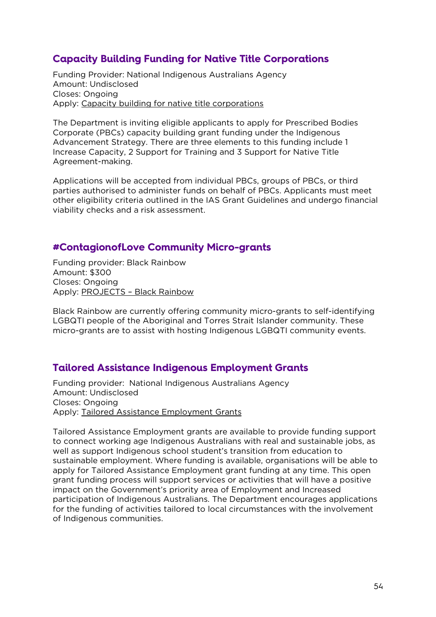# <span id="page-53-0"></span>**Capacity Building Funding for Native Title Corporations**

Funding Provider: National Indigenous Australians Agency Amount: Undisclosed Closes: Ongoing Apply: [Capacity building for native title corporations](https://www.niaa.gov.au/indigenous-affairs/grants-and-funding/capacity-building-native-title-corporations)

The Department is inviting eligible applicants to apply for Prescribed Bodies Corporate (PBCs) capacity building grant funding under the Indigenous Advancement Strategy. There are three elements to this funding include 1 Increase Capacity, 2 Support for Training and 3 Support for Native Title Agreement-making.

Applications will be accepted from individual PBCs, groups of PBCs, or third parties authorised to administer funds on behalf of PBCs. Applicants must meet other eligibility criteria outlined in the IAS Grant Guidelines and undergo financial viability checks and a risk assessment.

#### <span id="page-53-1"></span>**#ContagionofLove Community Micro-grants**

Funding provider: Black Rainbow Amount: \$300 Closes: Ongoing Apply: PROJECTS – [Black Rainbow](http://www.blackrainbow.org.au/contagion-of-love-projects/)

Black Rainbow are currently offering community micro-grants to self-identifying LGBQTI people of the Aboriginal and Torres Strait Islander community. These micro-grants are to assist with hosting Indigenous LGBQTI community events.

# <span id="page-53-2"></span>**Tailored Assistance Indigenous Employment Grants**

Funding provider: National Indigenous Australians Agency Amount: Undisclosed Closes: Ongoing Apply: [Tailored Assistance Employment Grants](https://www.niaa.gov.au/indigenous-affairs/employment/tailored-assistance-employment-grants)

Tailored Assistance Employment grants are available to provide funding support to connect working age Indigenous Australians with real and sustainable jobs, as well as support Indigenous school student's transition from education to sustainable employment. Where funding is available, organisations will be able to apply for Tailored Assistance Employment grant funding at any time. This open grant funding process will support services or activities that will have a positive impact on the Government's priority area of Employment and Increased participation of Indigenous Australians. The Department encourages applications for the funding of activities tailored to local circumstances with the involvement of Indigenous communities.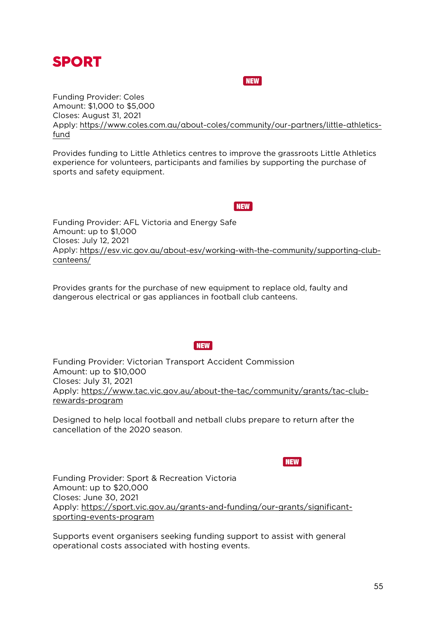<span id="page-54-1"></span><span id="page-54-0"></span>

#### **NEW**

Funding Provider: Coles Amount: \$1,000 to \$5,000 Closes: August 31, 2021 Apply: [https://www.coles.com.au/about-coles/community/our-partners/little-athletics](https://www.coles.com.au/about-coles/community/our-partners/little-athletics-fund)[fund](https://www.coles.com.au/about-coles/community/our-partners/little-athletics-fund)

Provides funding to Little Athletics centres to improve the grassroots Little Athletics experience for volunteers, participants and families by supporting the purchase of sports and safety equipment.

**NEW** 

<span id="page-54-2"></span>Funding Provider: AFL Victoria and Energy Safe Amount: up to \$1,000 Closes: July 12, 2021 Apply: [https://esv.vic.gov.au/about-esv/working-with-the-community/supporting-club](https://esv.vic.gov.au/about-esv/working-with-the-community/supporting-club-canteens/)[canteens/](https://esv.vic.gov.au/about-esv/working-with-the-community/supporting-club-canteens/)

Provides grants for the purchase of new equipment to replace old, faulty and dangerous electrical or gas appliances in football club canteens.

#### **NEW**

<span id="page-54-3"></span>Funding Provider: Victorian Transport Accident Commission Amount: up to \$10,000 Closes: July 31, 2021 Apply: [https://www.tac.vic.gov.au/about-the-tac/community/grants/tac-club](https://www.tac.vic.gov.au/about-the-tac/community/grants/tac-club-rewards-program)[rewards-program](https://www.tac.vic.gov.au/about-the-tac/community/grants/tac-club-rewards-program)

Designed to help local football and netball clubs prepare to return after the cancellation of the 2020 season.

**NEW** 

<span id="page-54-4"></span>Funding Provider: Sport & Recreation Victoria Amount: up to \$20,000 Closes: June 30, 2021 Apply: [https://sport.vic.gov.au/grants-and-funding/our-grants/significant](https://sport.vic.gov.au/grants-and-funding/our-grants/significant-sporting-events-program)[sporting-events-program](https://sport.vic.gov.au/grants-and-funding/our-grants/significant-sporting-events-program)

Supports event organisers seeking funding support to assist with general operational costs associated with hosting events.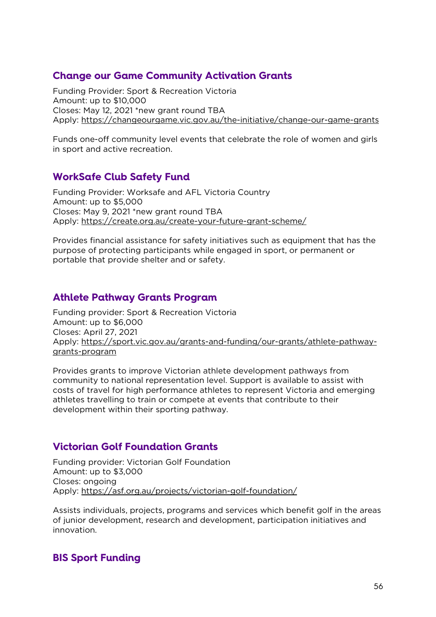# <span id="page-55-0"></span>**Change our Game Community Activation Grants**

Funding Provider: Sport & Recreation Victoria Amount: up to \$10,000 Closes: May 12, 2021 \*new grant round TBA Apply:<https://changeourgame.vic.gov.au/the-initiative/change-our-game-grants>

Funds one-off community level events that celebrate the role of women and girls in sport and active recreation.

# <span id="page-55-1"></span>**WorkSafe Club Safety Fund**

Funding Provider: Worksafe and AFL Victoria Country Amount: up to \$5,000 Closes: May 9, 2021 \*new grant round TBA Apply:<https://create.org.au/create-your-future-grant-scheme/>

Provides financial assistance for safety initiatives such as equipment that has the purpose of protecting participants while engaged in sport, or permanent or portable that provide shelter and or safety.

# <span id="page-55-2"></span>**Athlete Pathway Grants Program**

Funding provider: Sport & Recreation Victoria Amount: up to \$6,000 Closes: April 27, 2021 Apply: [https://sport.vic.gov.au/grants-and-funding/our-grants/athlete-pathway](https://sport.vic.gov.au/grants-and-funding/our-grants/athlete-pathway-grants-program)[grants-program](https://sport.vic.gov.au/grants-and-funding/our-grants/athlete-pathway-grants-program)

Provides grants to improve Victorian athlete development pathways from community to national representation level. Support is available to assist with costs of travel for high performance athletes to represent Victoria and emerging athletes travelling to train or compete at events that contribute to their development within their sporting pathway.

# <span id="page-55-3"></span>**Victorian Golf Foundation Grants**

Funding provider: Victorian Golf Foundation Amount: up to \$3,000 Closes: ongoing Apply:<https://asf.org.au/projects/victorian-golf-foundation/>

Assists individuals, projects, programs and services which benefit golf in the areas of junior development, research and development, participation initiatives and innovation.

# <span id="page-55-4"></span>**BIS Sport Funding**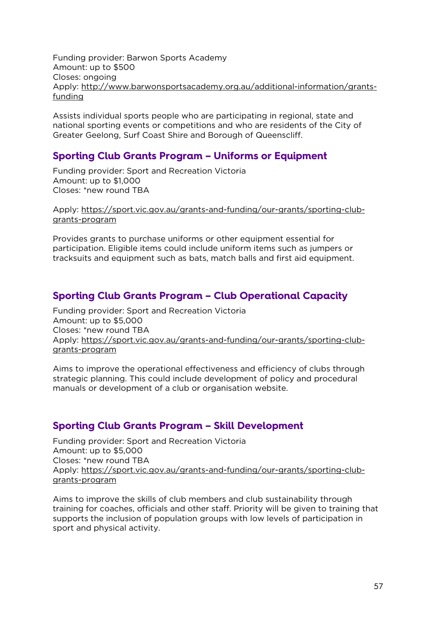Funding provider: Barwon Sports Academy Amount: up to \$500 Closes: ongoing Apply: [http://www.barwonsportsacademy.org.au/additional-information/grants](http://www.barwonsportsacademy.org.au/additional-information/grants-funding)[funding](http://www.barwonsportsacademy.org.au/additional-information/grants-funding)

Assists individual sports people who are participating in regional, state and national sporting events or competitions and who are residents of the City of Greater Geelong, Surf Coast Shire and Borough of Queenscliff.

#### <span id="page-56-0"></span>**Sporting Club Grants Program – Uniforms or Equipment**

Funding provider: Sport and Recreation Victoria Amount: up to \$1,000 Closes: \*new round TBA

Apply: [https://sport.vic.gov.au/grants-and-funding/our-grants/sporting-club](https://sport.vic.gov.au/grants-and-funding/our-grants/sporting-club-grants-program)[grants-program](https://sport.vic.gov.au/grants-and-funding/our-grants/sporting-club-grants-program)

Provides grants to purchase uniforms or other equipment essential for participation. Eligible items could include uniform items such as jumpers or tracksuits and equipment such as bats, match balls and first aid equipment.

#### <span id="page-56-1"></span>**Sporting Club Grants Program – Club Operational Capacity**

Funding provider: Sport and Recreation Victoria Amount: up to \$5,000 Closes: \*new round TBA Apply: [https://sport.vic.gov.au/grants-and-funding/our-grants/sporting-club](https://sport.vic.gov.au/grants-and-funding/our-grants/sporting-club-grants-program)[grants-program](https://sport.vic.gov.au/grants-and-funding/our-grants/sporting-club-grants-program)

Aims to improve the operational effectiveness and efficiency of clubs through strategic planning. This could include development of policy and procedural manuals or development of a club or organisation website.

#### <span id="page-56-2"></span>**Sporting Club Grants Program – Skill Development**

Funding provider: Sport and Recreation Victoria Amount: up to \$5,000 Closes: \*new round TBA Apply: [https://sport.vic.gov.au/grants-and-funding/our-grants/sporting-club](https://sport.vic.gov.au/grants-and-funding/our-grants/sporting-club-grants-program)[grants-program](https://sport.vic.gov.au/grants-and-funding/our-grants/sporting-club-grants-program)

Aims to improve the skills of club members and club sustainability through training for coaches, officials and other staff. Priority will be given to training that supports the inclusion of population groups with low levels of participation in sport and physical activity.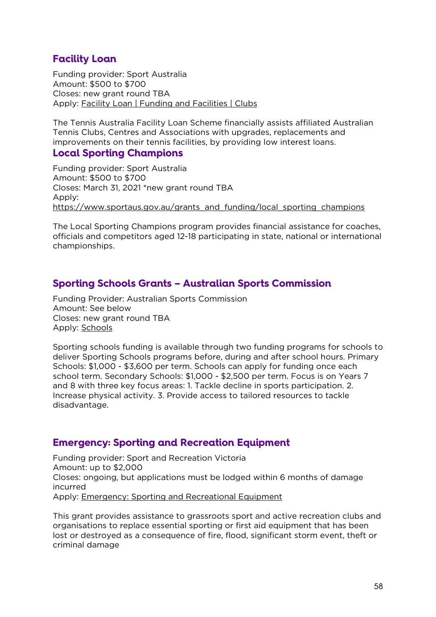# <span id="page-57-0"></span>**Facility Loan**

Funding provider: Sport Australia Amount: \$500 to \$700 Closes: new grant round TBA Apply: [Facility Loan | Funding and Facilities | Clubs](https://www.tennis.com.au/clubs/funding-and-facilities/facility-loan)

The Tennis Australia Facility Loan Scheme financially assists affiliated Australian Tennis Clubs, Centres and Associations with upgrades, replacements and improvements on their tennis facilities, by providing low interest loans.

#### <span id="page-57-1"></span>**Local Sporting Champions**

Funding provider: Sport Australia Amount: \$500 to \$700 Closes: March 31, 2021 \*new grant round TBA Apply: [https://www.sportaus.gov.au/grants\\_and\\_funding/local\\_sporting\\_champions](https://www.sportaus.gov.au/grants_and_funding/local_sporting_champions#apply_now)

The Local Sporting Champions program provides financial assistance for coaches, officials and competitors aged 12-18 participating in state, national or international championships.

# <span id="page-57-2"></span>**Sporting Schools Grants – Australian Sports Commission**

Funding Provider: Australian Sports Commission Amount: See below Closes: new grant round TBA Apply: [Schools](https://www.sportaus.gov.au/schools/schools)

Sporting schools funding is available through two funding programs for schools to deliver Sporting Schools programs before, during and after school hours. Primary Schools: \$1,000 - \$3,600 per term. Schools can apply for funding once each school term. Secondary Schools: \$1,000 - \$2,500 per term. Focus is on Years 7 and 8 with three key focus areas: 1. Tackle decline in sports participation. 2. Increase physical activity. 3. Provide access to tailored resources to tackle disadvantage.

#### <span id="page-57-3"></span>**Emergency: Sporting and Recreation Equipment**

Funding provider: Sport and Recreation Victoria Amount: up to \$2,000 Closes: ongoing, but applications must be lodged within 6 months of damage incurred Apply: [Emergency: Sporting and Recreational Equipment](https://sport.vic.gov.au/grants-and-funding/our-grants/emergency-sporting-and-recreational-equipment)

This grant provides assistance to grassroots sport and active recreation clubs and organisations to replace essential sporting or first aid equipment that has been lost or destroyed as a consequence of fire, flood, significant storm event, theft or criminal damage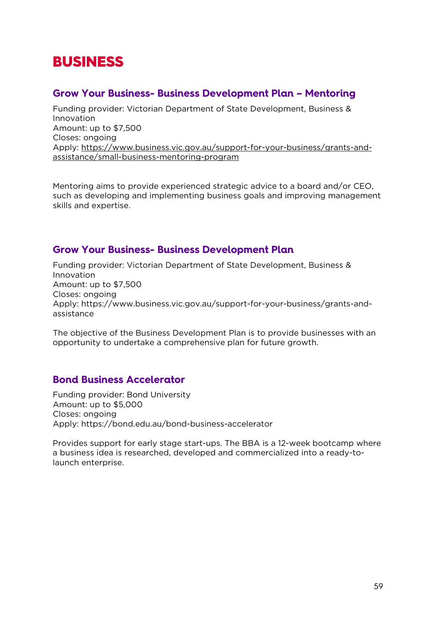# <span id="page-58-0"></span>BUSINESS

#### <span id="page-58-1"></span>**Grow Your Business- Business Development Plan – Mentoring**

Funding provider: Victorian Department of State Development, Business & Innovation Amount: up to \$7,500 Closes: ongoing Apply: [https://www.business.vic.gov.au/support-for-your-business/grants-and](https://www.business.vic.gov.au/support-for-your-business/grants-and-assistance/small-business-mentoring-program)[assistance/small-business-mentoring-program](https://www.business.vic.gov.au/support-for-your-business/grants-and-assistance/small-business-mentoring-program)

Mentoring aims to provide experienced strategic advice to a board and/or CEO, such as developing and implementing business goals and improving management skills and expertise.

# <span id="page-58-2"></span>**Grow Your Business- Business Development Plan**

Funding provider: Victorian Department of State Development, Business & Innovation Amount: up to \$7,500 Closes: ongoing Apply: https://www.business.vic.gov.au/support-for-your-business/grants-andassistance

The objective of the Business Development Plan is to provide businesses with an opportunity to undertake a comprehensive plan for future growth.

# <span id="page-58-3"></span>**Bond Business Accelerator**

Funding provider: Bond University Amount: up to \$5,000 Closes: ongoing Apply: https://bond.edu.au/bond-business-accelerator

Provides support for early stage start-ups. The BBA is a 12-week bootcamp where a business idea is researched, developed and commercialized into a ready-tolaunch enterprise.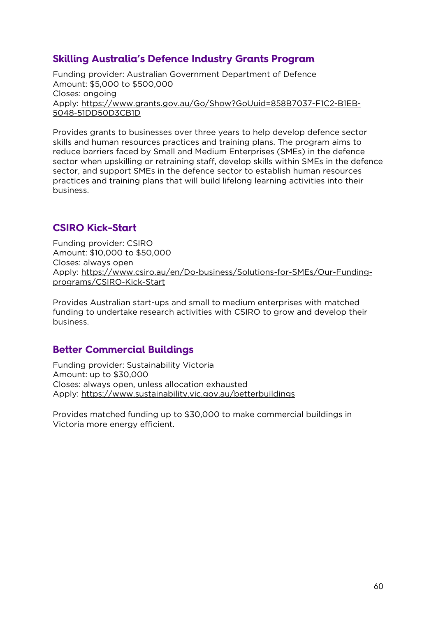# <span id="page-59-0"></span>**Skilling Australia's Defence Industry Grants Program**

Funding provider: Australian Government Department of Defence Amount: \$5,000 to \$500,000 Closes: ongoing Apply: [https://www.grants.gov.au/Go/Show?GoUuid=858B7037-F1C2-B1EB-](https://www.grants.gov.au/Go/Show?GoUuid=858B7037-F1C2-B1EB-5048-51DD50D3CB1D)[5048-51DD50D3CB1D](https://www.grants.gov.au/Go/Show?GoUuid=858B7037-F1C2-B1EB-5048-51DD50D3CB1D)

Provides grants to businesses over three years to help develop defence sector skills and human resources practices and training plans. The program aims to reduce barriers faced by Small and Medium Enterprises (SMEs) in the defence sector when upskilling or retraining staff, develop skills within SMEs in the defence sector, and support SMEs in the defence sector to establish human resources practices and training plans that will build lifelong learning activities into their business.

# <span id="page-59-1"></span>**CSIRO Kick-Start**

Funding provider: CSIRO Amount: \$10,000 to \$50,000 Closes: always open Apply: [https://www.csiro.au/en/Do-business/Solutions-for-SMEs/Our-Funding](https://www.csiro.au/en/Do-business/Solutions-for-SMEs/Our-Funding-programs/CSIRO-Kick-Start)[programs/CSIRO-Kick-Start](https://www.csiro.au/en/Do-business/Solutions-for-SMEs/Our-Funding-programs/CSIRO-Kick-Start)

Provides Australian start-ups and small to medium enterprises with matched funding to undertake research activities with CSIRO to grow and develop their business.

#### <span id="page-59-2"></span>**Better Commercial Buildings**

Funding provider: Sustainability Victoria Amount: up to \$30,000 Closes: always open, unless allocation exhausted Apply:<https://www.sustainability.vic.gov.au/betterbuildings>

Provides matched funding up to \$30,000 to make commercial buildings in Victoria more energy efficient.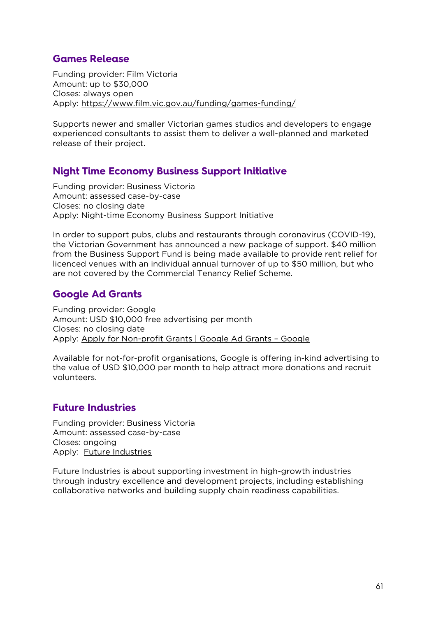# <span id="page-60-0"></span>**Games Release**

Funding provider: Film Victoria Amount: up to \$30,000 Closes: always open Apply:<https://www.film.vic.gov.au/funding/games-funding/>

Supports newer and smaller Victorian games studios and developers to engage experienced consultants to assist them to deliver a well-planned and marketed release of their project.

# <span id="page-60-1"></span>**Night Time Economy Business Support Initiative**

Funding provider: Business Victoria Amount: assessed case-by-case Closes: no closing date Apply: [Night-time Economy Business Support Initiative](https://www.business.vic.gov.au/support-for-your-business/grants-and-assistance/night-time-economy-business-support-initiative)

In order to support pubs, clubs and restaurants through coronavirus (COVID-19), the Victorian Government has announced a new package of support. \$40 million from the Business Support Fund is being made available to provide rent relief for licenced venues with an individual annual turnover of up to \$50 million, but who are not covered by the Commercial Tenancy Relief Scheme.

# <span id="page-60-2"></span>**Google Ad Grants**

Funding provider: Google Amount: USD \$10,000 free advertising per month Closes: no closing date Apply: [Apply for Non-profit Grants | Google Ad Grants –](https://www.google.com.au/grants/how-to-apply/) Google

Available for not-for-profit organisations, Google is offering in-kind advertising to the value of USD \$10,000 per month to help attract more donations and recruit volunteers.

# <span id="page-60-3"></span>**Future Industries**

Funding provider: Business Victoria Amount: assessed case-by-case Closes: ongoing Apply: [Future Industries](https://www.business.vic.gov.au/support-for-your-business/grants-and-assistance/future-industries)

Future Industries is about supporting investment in high-growth industries through industry excellence and development projects, including establishing collaborative networks and building supply chain readiness capabilities.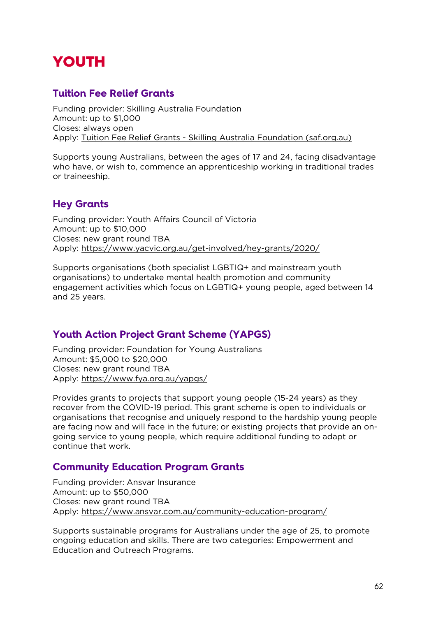# <span id="page-61-0"></span>YOUTH

# <span id="page-61-1"></span>**Tuition Fee Relief Grants**

Funding provider: Skilling Australia Foundation Amount: up to \$1,000 Closes: always open Apply: Tuition Fee Relief Grants - [Skilling Australia Foundation \(saf.org.au\)](https://saf.org.au/tuition-fee-relief-grants/)

Supports young Australians, between the ages of 17 and 24, facing disadvantage who have, or wish to, commence an apprenticeship working in traditional trades or traineeship.

# <span id="page-61-2"></span>**Hey Grants**

Funding provider: Youth Affairs Council of Victoria Amount: up to \$10,000 Closes: new grant round TBA Apply:<https://www.yacvic.org.au/get-involved/hey-grants/2020/>

Supports organisations (both specialist LGBTIQ+ and mainstream youth organisations) to undertake mental health promotion and community engagement activities which focus on LGBTIQ+ young people, aged between 14 and 25 years.

# <span id="page-61-3"></span>**Youth Action Project Grant Scheme (YAPGS)**

Funding provider: Foundation for Young Australians Amount: \$5,000 to \$20,000 Closes: new grant round TBA Apply:<https://www.fya.org.au/yapgs/>

Provides grants to projects that support young people (15-24 years) as they recover from the COVID-19 period. This grant scheme is open to individuals or organisations that recognise and uniquely respond to the hardship young people are facing now and will face in the future; or existing projects that provide an ongoing service to young people, which require additional funding to adapt or continue that work.

# <span id="page-61-4"></span>**Community Education Program Grants**

Funding provider: Ansvar Insurance Amount: up to \$50,000 Closes: new grant round TBA Apply:<https://www.ansvar.com.au/community-education-program/>

Supports sustainable programs for Australians under the age of 25, to promote ongoing education and skills. There are two categories: Empowerment and Education and Outreach Programs.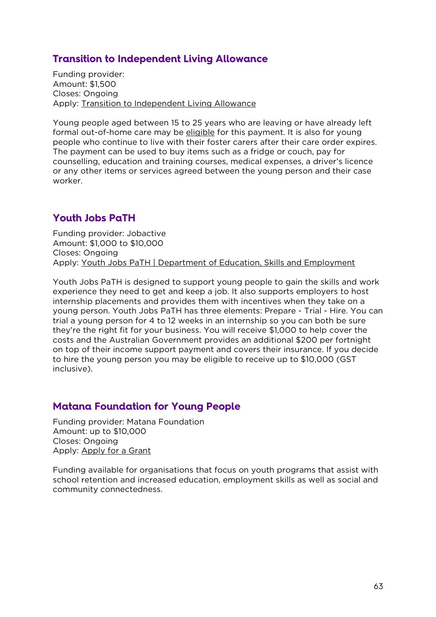# <span id="page-62-0"></span>**Transition to Independent Living Allowance**

Funding provider: Amount: \$1,500 Closes: Ongoing Apply: [Transition to Independent Living Allowance](https://www.dss.gov.au/our-responsibilities/families-and-children/benefits-payments/transition-to-independent-living-allowance-tila)

Young people aged between 15 to 25 years who are leaving or have already left formal out-of-home care may be [eligible](https://www.dss.gov.au/our-responsibilities/families-and-children/benefits-payments/transition-to-independent-living-allowance-tila/eligibility) for this payment. It is also for young people who continue to live with their foster carers after their care order expires. The payment can be used to buy items such as a fridge or couch, pay for counselling, education and training courses, medical expenses, a driver's licence or any other items or services agreed between the young person and their case worker.

# <span id="page-62-1"></span>**Youth Jobs PaTH**

Funding provider: Jobactive Amount: \$1,000 to \$10,000 Closes: Ongoing Apply: [Youth Jobs PaTH | Department of Education, Skills and Employment](https://www.employment.gov.au/youth-jobs-path)

Youth Jobs PaTH is designed to support young people to gain the skills and work experience they need to get and keep a job. It also supports employers to host internship placements and provides them with incentives when they take on a young person. Youth Jobs PaTH has three elements: Prepare - Trial - Hire. You can trial a young person for 4 to 12 weeks in an internship so you can both be sure they're the right fit for your business. You will receive \$1,000 to help cover the costs and the Australian Government provides an additional \$200 per fortnight on top of their income support payment and covers their insurance. If you decide to hire the young person you may be eligible to receive up to \$10,000 (GST inclusive).

# <span id="page-62-2"></span>**Matana Foundation for Young People**

Funding provider: Matana Foundation Amount: up to \$10,000 Closes: Ongoing Apply: [Apply for a Grant](http://matanafoundation.org.au/apply-for-a-grant)

Funding available for organisations that focus on youth programs that assist with school retention and increased education, employment skills as well as social and community connectedness.